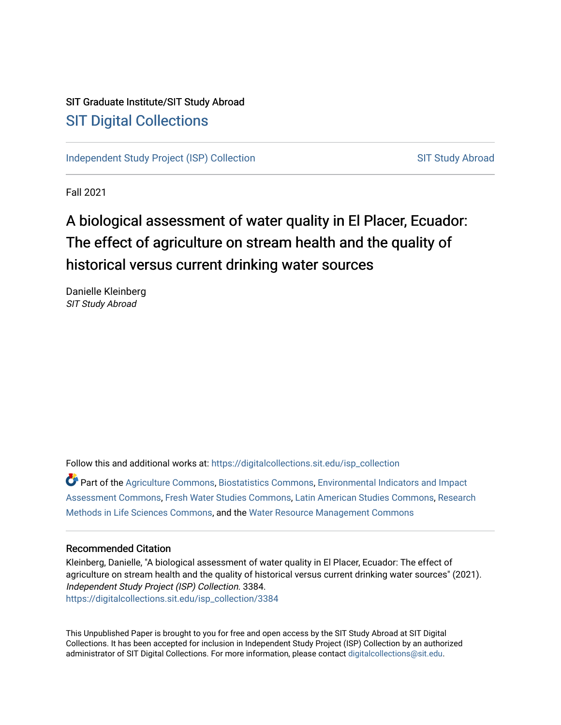## SIT Graduate Institute/SIT Study Abroad [SIT Digital Collections](https://digitalcollections.sit.edu/)

[Independent Study Project \(ISP\) Collection](https://digitalcollections.sit.edu/isp_collection) [SIT Study Abroad](https://digitalcollections.sit.edu/study_abroad) SIT Study Abroad

Fall 2021

# A biological assessment of water quality in El Placer, Ecuador: The effect of agriculture on stream health and the quality of historical versus current drinking water sources

Danielle Kleinberg SIT Study Abroad

Follow this and additional works at: [https://digitalcollections.sit.edu/isp\\_collection](https://digitalcollections.sit.edu/isp_collection?utm_source=digitalcollections.sit.edu%2Fisp_collection%2F3384&utm_medium=PDF&utm_campaign=PDFCoverPages) 

Part of the [Agriculture Commons](http://network.bepress.com/hgg/discipline/1076?utm_source=digitalcollections.sit.edu%2Fisp_collection%2F3384&utm_medium=PDF&utm_campaign=PDFCoverPages), [Biostatistics Commons,](http://network.bepress.com/hgg/discipline/210?utm_source=digitalcollections.sit.edu%2Fisp_collection%2F3384&utm_medium=PDF&utm_campaign=PDFCoverPages) [Environmental Indicators and Impact](http://network.bepress.com/hgg/discipline/1015?utm_source=digitalcollections.sit.edu%2Fisp_collection%2F3384&utm_medium=PDF&utm_campaign=PDFCoverPages)  [Assessment Commons,](http://network.bepress.com/hgg/discipline/1015?utm_source=digitalcollections.sit.edu%2Fisp_collection%2F3384&utm_medium=PDF&utm_campaign=PDFCoverPages) [Fresh Water Studies Commons,](http://network.bepress.com/hgg/discipline/189?utm_source=digitalcollections.sit.edu%2Fisp_collection%2F3384&utm_medium=PDF&utm_campaign=PDFCoverPages) [Latin American Studies Commons,](http://network.bepress.com/hgg/discipline/363?utm_source=digitalcollections.sit.edu%2Fisp_collection%2F3384&utm_medium=PDF&utm_campaign=PDFCoverPages) [Research](http://network.bepress.com/hgg/discipline/1385?utm_source=digitalcollections.sit.edu%2Fisp_collection%2F3384&utm_medium=PDF&utm_campaign=PDFCoverPages)  [Methods in Life Sciences Commons,](http://network.bepress.com/hgg/discipline/1385?utm_source=digitalcollections.sit.edu%2Fisp_collection%2F3384&utm_medium=PDF&utm_campaign=PDFCoverPages) and the [Water Resource Management Commons](http://network.bepress.com/hgg/discipline/1057?utm_source=digitalcollections.sit.edu%2Fisp_collection%2F3384&utm_medium=PDF&utm_campaign=PDFCoverPages) 

#### Recommended Citation

Kleinberg, Danielle, "A biological assessment of water quality in El Placer, Ecuador: The effect of agriculture on stream health and the quality of historical versus current drinking water sources" (2021). Independent Study Project (ISP) Collection. 3384. [https://digitalcollections.sit.edu/isp\\_collection/3384](https://digitalcollections.sit.edu/isp_collection/3384?utm_source=digitalcollections.sit.edu%2Fisp_collection%2F3384&utm_medium=PDF&utm_campaign=PDFCoverPages) 

This Unpublished Paper is brought to you for free and open access by the SIT Study Abroad at SIT Digital Collections. It has been accepted for inclusion in Independent Study Project (ISP) Collection by an authorized administrator of SIT Digital Collections. For more information, please contact [digitalcollections@sit.edu](mailto:digitalcollections@sit.edu).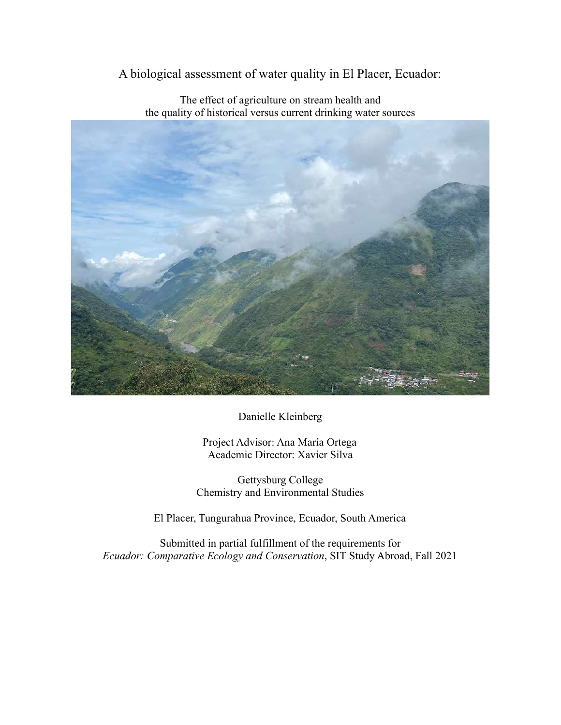A biological assessment of water quality in El Placer, Ecuador:



The effect of agriculture on stream health and the quality of historical versus current drinking water sources

Danielle Kleinberg

Project Advisor: Ana María Ortega Academic Director: Xavier Silva

Gettysburg College Chemistry and Environmental Studies

El Placer, Tungurahua Province, Ecuador, South America

Submitted in partial fulfillment of the requirements for *Ecuador: Comparative Ecology and Conservation*, SIT Study Abroad, Fall 2021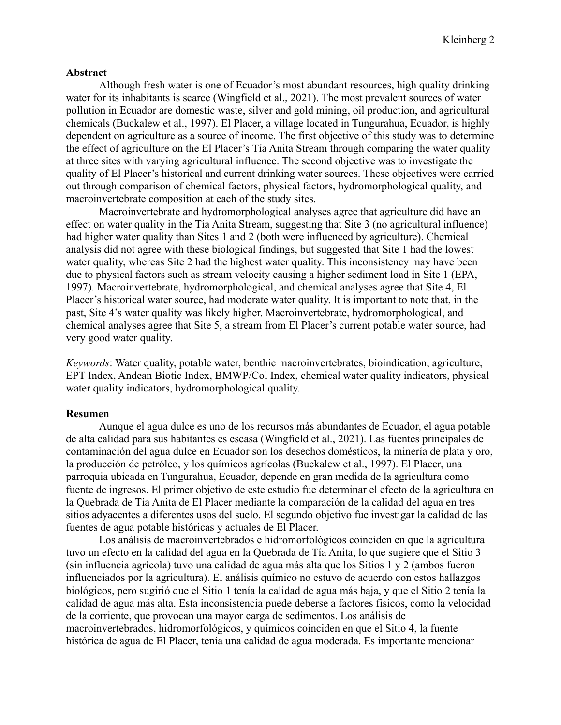#### **Abstract**

Although fresh water is one of Ecuador's most abundant resources, high quality drinking water for its inhabitants is scarce (Wingfield et al., 2021). The most prevalent sources of water pollution in Ecuador are domestic waste, silver and gold mining, oil production, and agricultural chemicals (Buckalew et al., 1997). El Placer, a village located in Tungurahua, Ecuador, is highly dependent on agriculture as a source of income. The first objective of this study was to determine the effect of agriculture on the El Placer's Tía Anita Stream through comparing the water quality at three sites with varying agricultural influence. The second objective was to investigate the quality of El Placer's historical and current drinking water sources. These objectives were carried out through comparison of chemical factors, physical factors, hydromorphological quality, and macroinvertebrate composition at each of the study sites.

Macroinvertebrate and hydromorphological analyses agree that agriculture did have an effect on water quality in the Tía Anita Stream, suggesting that Site 3 (no agricultural influence) had higher water quality than Sites 1 and 2 (both were influenced by agriculture). Chemical analysis did not agree with these biological findings, but suggested that Site 1 had the lowest water quality, whereas Site 2 had the highest water quality. This inconsistency may have been due to physical factors such as stream velocity causing a higher sediment load in Site 1 (EPA, 1997). Macroinvertebrate, hydromorphological, and chemical analyses agree that Site 4, El Placer's historical water source, had moderate water quality. It is important to note that, in the past, Site 4's water quality was likely higher. Macroinvertebrate, hydromorphological, and chemical analyses agree that Site 5, a stream from El Placer's current potable water source, had very good water quality.

*Keywords*: Water quality, potable water, benthic macroinvertebrates, bioindication, agriculture, EPT Index, Andean Biotic Index, BMWP/Col Index, chemical water quality indicators, physical water quality indicators, hydromorphological quality.

#### **Resumen**

Aunque el agua dulce es uno de los recursos más abundantes de Ecuador, el agua potable de alta calidad para sus habitantes es escasa (Wingfield et al., 2021). Las fuentes principales de contaminación del agua dulce en Ecuador son los desechos domésticos, la minería de plata y oro, la producción de petróleo, y los químicos agrícolas (Buckalew et al., 1997). El Placer, una parroquia ubicada en Tungurahua, Ecuador, depende en gran medida de la agricultura como fuente de ingresos. El primer objetivo de este estudio fue determinar el efecto de la agricultura en la Quebrada de Tía Anita de El Placer mediante la comparación de la calidad del agua en tres sitios adyacentes a diferentes usos del suelo. El segundo objetivo fue investigar la calidad de las fuentes de agua potable históricas y actuales de El Placer.

Los análisis de macroinvertebrados e hidromorfológicos coinciden en que la agricultura tuvo un efecto en la calidad del agua en la Quebrada de Tía Anita, lo que sugiere que el Sitio 3 (sin influencia agrícola) tuvo una calidad de agua más alta que los Sitios 1 y 2 (ambos fueron influenciados por la agricultura). El análisis químico no estuvo de acuerdo con estos hallazgos biológicos, pero sugirió que el Sitio 1 tenía la calidad de agua más baja, y que el Sitio 2 tenía la calidad de agua más alta. Esta inconsistencia puede deberse a factores físicos, como la velocidad de la corriente, que provocan una mayor carga de sedimentos. Los análisis de macroinvertebrados, hidromorfológicos, y químicos coinciden en que el Sitio 4, la fuente histórica de agua de El Placer, tenía una calidad de agua moderada. Es importante mencionar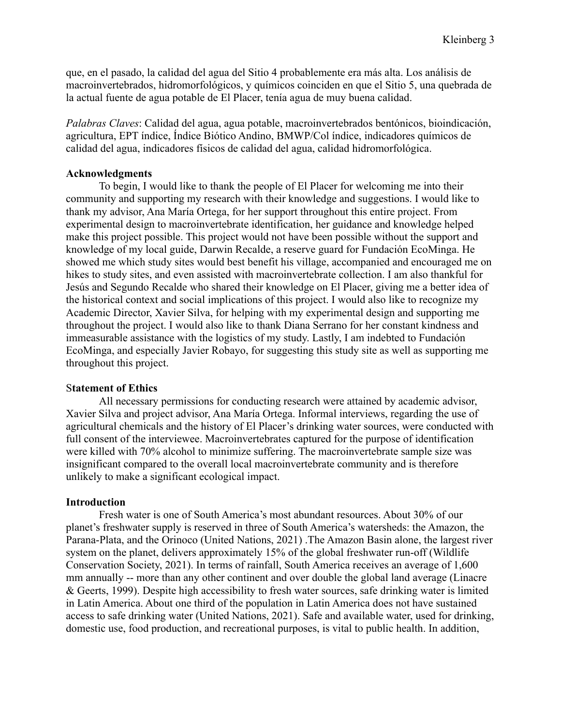que, en el pasado, la calidad del agua del Sitio 4 probablemente era más alta. Los análisis de macroinvertebrados, hidromorfológicos, y químicos coinciden en que el Sitio 5, una quebrada de la actual fuente de agua potable de El Placer, tenía agua de muy buena calidad.

*Palabras Claves*: Calidad del agua, agua potable, macroinvertebrados bentónicos, bioindicación, agricultura, EPT índice, Índice Biótico Andino, BMWP/Col índice, indicadores químicos de calidad del agua, indicadores físicos de calidad del agua, calidad hidromorfológica.

#### **Acknowledgments**

To begin, I would like to thank the people of El Placer for welcoming me into their community and supporting my research with their knowledge and suggestions. I would like to thank my advisor, Ana María Ortega, for her support throughout this entire project. From experimental design to macroinvertebrate identification, her guidance and knowledge helped make this project possible. This project would not have been possible without the support and knowledge of my local guide, Darwin Recalde, a reserve guard for Fundación EcoMinga. He showed me which study sites would best benefit his village, accompanied and encouraged me on hikes to study sites, and even assisted with macroinvertebrate collection. I am also thankful for Jesús and Segundo Recalde who shared their knowledge on El Placer, giving me a better idea of the historical context and social implications of this project. I would also like to recognize my Academic Director, Xavier Silva, for helping with my experimental design and supporting me throughout the project. I would also like to thank Diana Serrano for her constant kindness and immeasurable assistance with the logistics of my study. Lastly, I am indebted to Fundación EcoMinga, and especially Javier Robayo, for suggesting this study site as well as supporting me throughout this project.

#### S**tatement of Ethics**

All necessary permissions for conducting research were attained by academic advisor, Xavier Silva and project advisor, Ana María Ortega. Informal interviews, regarding the use of agricultural chemicals and the history of El Placer's drinking water sources, were conducted with full consent of the interviewee. Macroinvertebrates captured for the purpose of identification were killed with 70% alcohol to minimize suffering. The macroinvertebrate sample size was insignificant compared to the overall local macroinvertebrate community and is therefore unlikely to make a significant ecological impact.

#### **Introduction**

Fresh water is one of South America's most abundant resources. About 30% of our planet's freshwater supply is reserved in three of South America's watersheds: the Amazon, the Parana-Plata, and the Orinoco (United Nations, 2021) .The Amazon Basin alone, the largest river system on the planet, delivers approximately 15% of the global freshwater run-off [\(Wildlife](https://www.zotero.org/google-docs/?broken=pjrXUE) [Conservation Society, 2021\)](https://www.zotero.org/google-docs/?broken=pjrXUE). In terms of rainfall, South America receives an average of 1,600 mm annually -- more than any other continent and over double the global land average (Linacre & Geerts, 1999). Despite high accessibility to fresh water sources, safe drinking water is limited in Latin America. About one third of the population in Latin America does not have sustained access to safe drinking water (United Nations, 2021). Safe and available water, used for drinking, domestic use, food production, and recreational purposes, is vital to public health. In addition,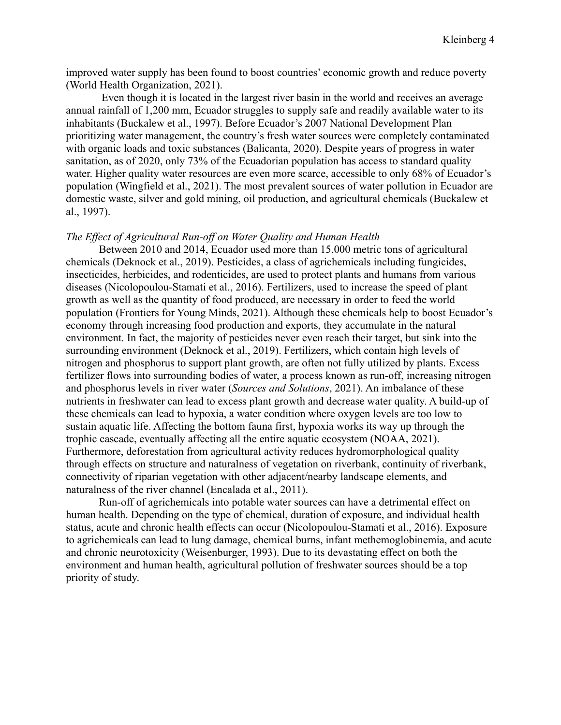improved water supply has been found to boost countries' economic growth and reduce poverty [\(World Health Organization, 2021\)](https://www.zotero.org/google-docs/?broken=QBpAfj).

Even though it is located in the largest river basin in the world and receives an average annual rainfall of 1,200 mm, Ecuador struggles to supply safe and readily available water to its inhabitants (Buckalew et al., 1997). Before Ecuador's 2007 National Development Plan prioritizing water management, the country's fresh water sources were completely contaminated with organic loads and toxic substances (Balicanta, 2020). Despite years of progress in water sanitation, as of 2020, only 73% of the Ecuadorian population has access to standard quality water. Higher quality water resources are even more scarce, accessible to only 68% of Ecuador's population (Wingfield et al., 2021). The most prevalent sources of water pollution in Ecuador are domestic waste, silver and gold mining, oil production, and agricultural chemicals (Buckalew et al., 1997).

#### *The Effect of Agricultural Run-off on Water Quality and Human Health*

Between 2010 and 2014, Ecuador used more than 15,000 metric tons of agricultural chemicals (Deknock et al., 2019). Pesticides, a class of agrichemicals including fungicides, insecticides, herbicides, and rodenticides, are used to protect plants and humans from various diseases (Nicolopoulou-Stamati et al., 2016). Fertilizers, used to increase the speed of plant growth as well as the quantity of food produced, are necessary in order to feed the world population (Frontiers for Young Minds, 2021). Although these chemicals help to boost Ecuador's economy through increasing food production and exports, they accumulate in the natural environment. In fact, the majority of pesticides never even reach their target, but sink into the surrounding environment (Deknock et al., 2019). Fertilizers, which contain high levels of nitrogen and phosphorus to support plant growth, are often not fully utilized by plants. Excess fertilizer flows into surrounding bodies of water, a process known as run-off, increasing nitrogen and phosphorus levels in river water (*Sources and Solutions*, 2021). An imbalance of these nutrients in freshwater can lead to excess plant growth and decrease water quality. A build-up of these chemicals can lead to hypoxia, a water condition where oxygen levels are too low to sustain aquatic life. Affecting the bottom fauna first, hypoxia works its way up through the trophic cascade, eventually affecting all the entire aquatic ecosystem (NOAA, 2021). Furthermore, deforestation from agricultural activity reduces hydromorphological quality through effects on structure and naturalness of vegetation on riverbank, continuity of riverbank, connectivity of riparian vegetation with other adjacent/nearby landscape elements, and naturalness of the river channel (Encalada et al., 2011).

Run-off of agrichemicals into potable water sources can have a detrimental effect on human health. Depending on the type of chemical, duration of exposure, and individual health status, acute and chronic health effects can occur (Nicolopoulou-Stamati et al., 2016). Exposure to agrichemicals can lead to lung damage, chemical burns, infant methemoglobinemia, and acute and chronic neurotoxicity (Weisenburger, 1993). Due to its devastating effect on both the environment and human health, agricultural pollution of freshwater sources should be a top priority of study.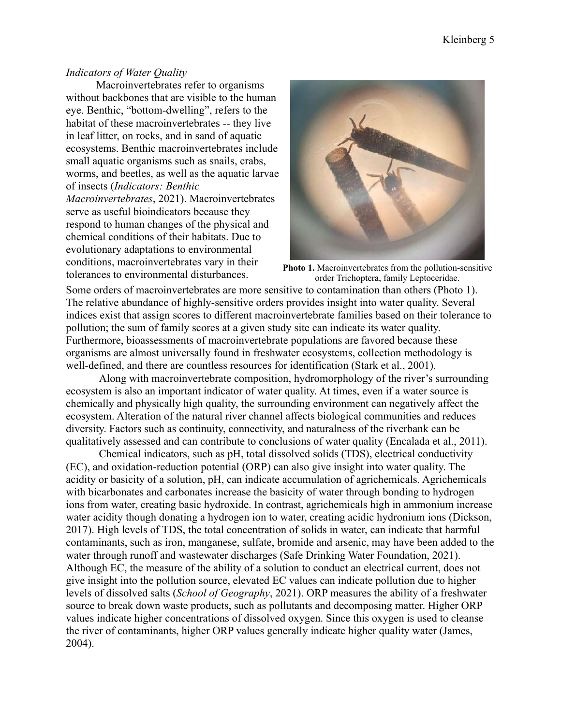#### *Indicators of Water Quality*

Macroinvertebrates refer to organisms without backbones that are visible to the human eye. Benthic, "bottom-dwelling", refers to the habitat of these macroinvertebrates -- they live in leaf litter, on rocks, and in sand of aquatic ecosystems. Benthic macroinvertebrates include small aquatic organisms such as snails, crabs, worms, and beetles, as well as the aquatic larvae of insects (*Indicators: Benthic Macroinvertebrates*, 2021). Macroinvertebrates serve as useful bioindicators because they respond to human changes of the physical and chemical conditions of their habitats. Due to evolutionary adaptations to environmental conditions, macroinvertebrates vary in their tolerances to environmental disturbances. **Photo 1.** Macroinvertebrates from the pollution-sensitive



order Trichoptera, family Leptoceridae.

Some orders of macroinvertebrates are more sensitive to contamination than others (Photo 1). The relative abundance of highly-sensitive orders provides insight into water quality. Several indices exist that assign scores to different macroinvertebrate families based on their tolerance to pollution; the sum of family scores at a given study site can indicate its water quality. Furthermore, bioassessments of macroinvertebrate populations are favored because these organisms are almost universally found in freshwater ecosystems, collection methodology is well-defined, and there are countless resources for identification (Stark et al., 2001).

Along with macroinvertebrate composition, hydromorphology of the river's surrounding ecosystem is also an important indicator of water quality. At times, even if a water source is chemically and physically high quality, the surrounding environment can negatively affect the ecosystem. Alteration of the natural river channel affects biological communities and reduces diversity. Factors such as continuity, connectivity, and naturalness of the riverbank can be qualitatively assessed and can contribute to conclusions of water quality (Encalada et al., 2011).

Chemical indicators, such as pH, total dissolved solids (TDS), electrical conductivity (EC), and oxidation-reduction potential (ORP) can also give insight into water quality. The acidity or basicity of a solution, pH, can indicate accumulation of agrichemicals. Agrichemicals with bicarbonates and carbonates increase the basicity of water through bonding to hydrogen ions from water, creating basic hydroxide. In contrast, agrichemicals high in ammonium increase water acidity though donating a hydrogen ion to water, creating acidic hydronium ions (Dickson, 2017). High levels of TDS, the total concentration of solids in water, can indicate that harmful contaminants, such as iron, manganese, sulfate, bromide and arsenic, may have been added to the water through runoff and wastewater discharges (Safe Drinking Water Foundation, 2021). Although EC, the measure of the ability of a solution to conduct an electrical current, does not give insight into the pollution source, elevated EC values can indicate pollution due to higher levels of dissolved salts (*School of Geography*, 2021). ORP measures the ability of a freshwater source to break down waste products, such as pollutants and decomposing matter. Higher ORP values indicate higher concentrations of dissolved oxygen. Since this oxygen is used to cleanse the river of contaminants, higher ORP values generally indicate higher quality water (James, 2004).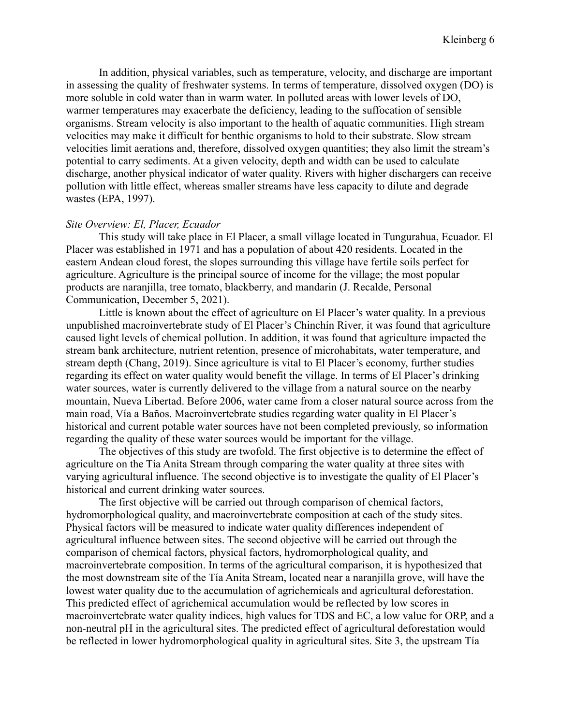In addition, physical variables, such as temperature, velocity, and discharge are important in assessing the quality of freshwater systems. In terms of temperature, dissolved oxygen (DO) is more soluble in cold water than in warm water. In polluted areas with lower levels of DO, warmer temperatures may exacerbate the deficiency, leading to the suffocation of sensible organisms. Stream velocity is also important to the health of aquatic communities. High stream velocities may make it difficult for benthic organisms to hold to their substrate. Slow stream velocities limit aerations and, therefore, dissolved oxygen quantities; they also limit the stream's potential to carry sediments. At a given velocity, depth and width can be used to calculate discharge, another physical indicator of water quality. Rivers with higher dischargers can receive pollution with little effect, whereas smaller streams have less capacity to dilute and degrade wastes (EPA, 1997).

#### *Site Overview: El, Placer, Ecuador*

This study will take place in El Placer, a small village located in Tungurahua, Ecuador. El Placer was established in 1971 and has a population of about 420 residents. Located in the eastern Andean cloud forest, the slopes surrounding this village have fertile soils perfect for agriculture. Agriculture is the principal source of income for the village; the most popular products are naranjilla, tree tomato, blackberry, and mandarin (J. Recalde, Personal Communication, December 5, 2021).

Little is known about the effect of agriculture on El Placer's water quality. In a previous unpublished macroinvertebrate study of El Placer's Chinchín River, it was found that agriculture caused light levels of chemical pollution. In addition, it was found that agriculture impacted the stream bank architecture, nutrient retention, presence of microhabitats, water temperature, and stream depth (Chang, 2019). Since agriculture is vital to El Placer's economy, further studies regarding its effect on water quality would benefit the village. In terms of El Placer's drinking water sources, water is currently delivered to the village from a natural source on the nearby mountain, Nueva Libertad. Before 2006, water came from a closer natural source across from the main road, Vía a Baños. Macroinvertebrate studies regarding water quality in El Placer's historical and current potable water sources have not been completed previously, so information regarding the quality of these water sources would be important for the village.

The objectives of this study are twofold. The first objective is to determine the effect of agriculture on the Tía Anita Stream through comparing the water quality at three sites with varying agricultural influence. The second objective is to investigate the quality of El Placer's historical and current drinking water sources.

The first objective will be carried out through comparison of chemical factors, hydromorphological quality, and macroinvertebrate composition at each of the study sites. Physical factors will be measured to indicate water quality differences independent of agricultural influence between sites. The second objective will be carried out through the comparison of chemical factors, physical factors, hydromorphological quality, and macroinvertebrate composition. In terms of the agricultural comparison, it is hypothesized that the most downstream site of the Tía Anita Stream, located near a naranjilla grove, will have the lowest water quality due to the accumulation of agrichemicals and agricultural deforestation. This predicted effect of agrichemical accumulation would be reflected by low scores in macroinvertebrate water quality indices, high values for TDS and EC, a low value for ORP, and a non-neutral pH in the agricultural sites. The predicted effect of agricultural deforestation would be reflected in lower hydromorphological quality in agricultural sites. Site 3, the upstream Tía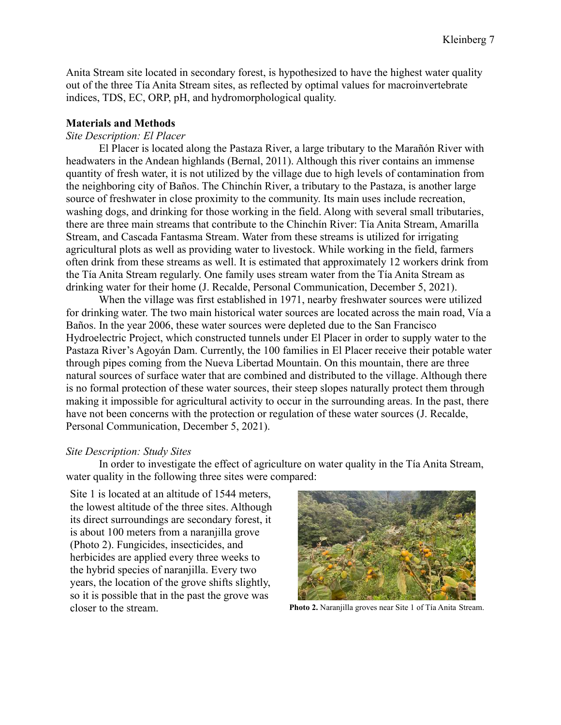Anita Stream site located in secondary forest, is hypothesized to have the highest water quality out of the three Tía Anita Stream sites, as reflected by optimal values for macroinvertebrate indices, TDS, EC, ORP, pH, and hydromorphological quality.

#### **Materials and Methods**

#### *Site Description: El Placer*

El Placer is located along the Pastaza River, a large tributary to the Marañón River with headwaters in the Andean highlands (Bernal, 2011). Although this river contains an immense quantity of fresh water, it is not utilized by the village due to high levels of contamination from the neighboring city of Baños. The Chinchín River, a tributary to the Pastaza, is another large source of freshwater in close proximity to the community. Its main uses include recreation, washing dogs, and drinking for those working in the field. Along with several small tributaries, there are three main streams that contribute to the Chinchín River: Tía Anita Stream, Amarilla Stream, and Cascada Fantasma Stream. Water from these streams is utilized for irrigating agricultural plots as well as providing water to livestock. While working in the field, farmers often drink from these streams as well. It is estimated that approximately 12 workers drink from the Tía Anita Stream regularly. One family uses stream water from the Tía Anita Stream as drinking water for their home (J. Recalde, Personal Communication, December 5, 2021).

When the village was first established in 1971, nearby freshwater sources were utilized for drinking water. The two main historical water sources are located across the main road, Vía a Baños. In the year 2006, these water sources were depleted due to the San Francisco Hydroelectric Project, which constructed tunnels under El Placer in order to supply water to the Pastaza River's Agoyán Dam. Currently, the 100 families in El Placer receive their potable water through pipes coming from the Nueva Libertad Mountain. On this mountain, there are three natural sources of surface water that are combined and distributed to the village. Although there is no formal protection of these water sources, their steep slopes naturally protect them through making it impossible for agricultural activity to occur in the surrounding areas. In the past, there have not been concerns with the protection or regulation of these water sources (J. Recalde, Personal Communication, December 5, 2021).

#### *Site Description: Study Sites*

In order to investigate the effect of agriculture on water quality in the Tía Anita Stream, water quality in the following three sites were compared:

Site 1 is located at an altitude of 1544 meters, the lowest altitude of the three sites. Although its direct surroundings are secondary forest, it is about 100 meters from a naranjilla grove (Photo 2). Fungicides, insecticides, and herbicides are applied every three weeks to the hybrid species of naranjilla. Every two years, the location of the grove shifts slightly, so it is possible that in the past the grove was closer to the stream. **Photo 2.** Naranjilla groves near Site 1 of Tía Anita Stream.

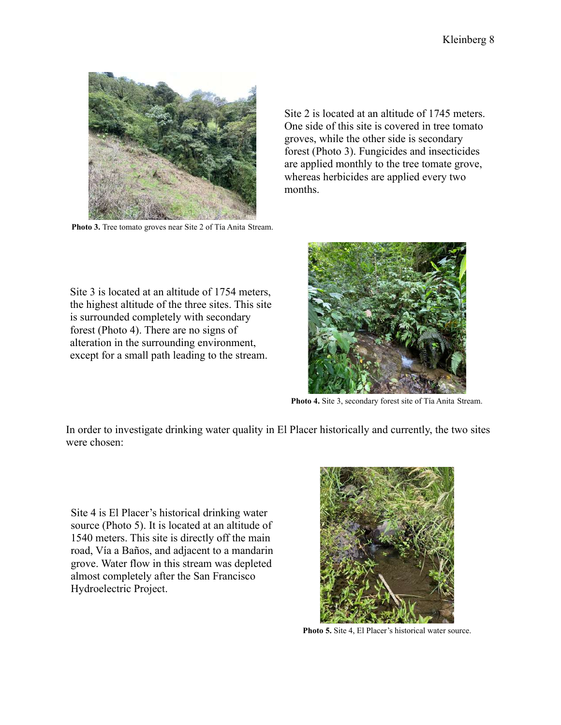

**Photo 3.** Tree tomato groves near Site 2 of Tía Anita Stream.

Site 2 is located at an altitude of 1745 meters. One side of this site is covered in tree tomato groves, while the other side is secondary forest (Photo 3). Fungicides and insecticides are applied monthly to the tree tomate grove, whereas herbicides are applied every two months.

Site 3 is located at an altitude of 1754 meters, the highest altitude of the three sites. This site is surrounded completely with secondary forest (Photo 4). There are no signs of alteration in the surrounding environment, except for a small path leading to the stream.



**Photo 4.** Site 3, secondary forest site of Tía Anita Stream.

In order to investigate drinking water quality in El Placer historically and currently, the two sites were chosen:

Site 4 is El Placer's historical drinking water source (Photo 5). It is located at an altitude of 1540 meters. This site is directly off the main road, Vía a Baños, and adjacent to a mandarin grove. Water flow in this stream was depleted almost completely after the San Francisco Hydroelectric Project.



**Photo 5.** Site 4, El Placer's historical water source.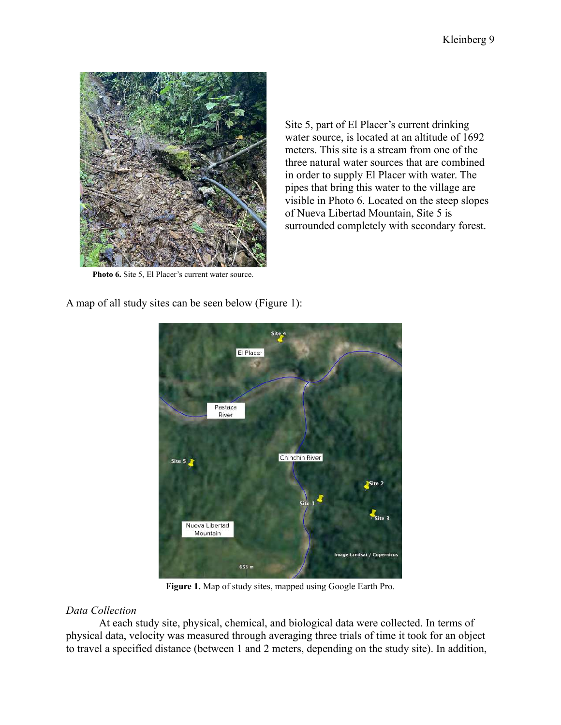

Site 5, part of El Placer's current drinking water source, is located at an altitude of 1692 meters. This site is a stream from one of the three natural water sources that are combined in order to supply El Placer with water. The pipes that bring this water to the village are visible in Photo 6. Located on the steep slopes of Nueva Libertad Mountain, Site 5 is surrounded completely with secondary forest.

**Photo 6.** Site 5, El Placer's current water source.

A map of all study sites can be seen below (Figure 1):



**Figure 1.** Map of study sites, mapped using Google Earth Pro.

### *Data Collection*

At each study site, physical, chemical, and biological data were collected. In terms of physical data, velocity was measured through averaging three trials of time it took for an object to travel a specified distance (between 1 and 2 meters, depending on the study site). In addition,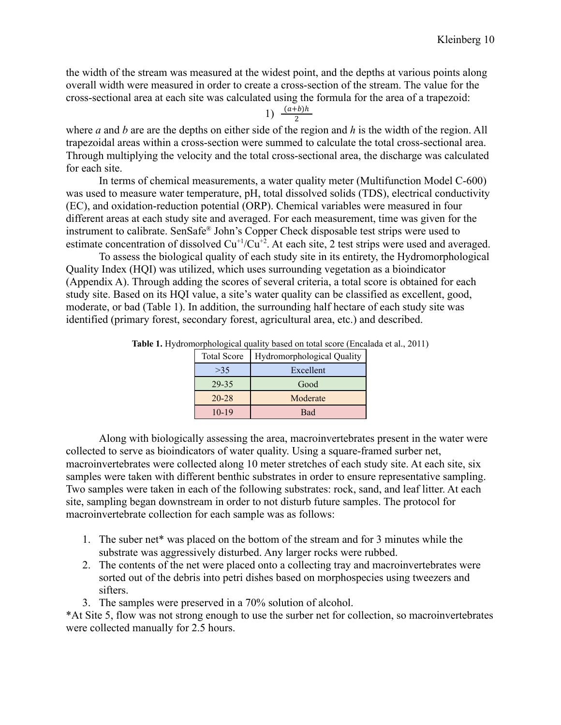the width of the stream was measured at the widest point, and the depths at various points along overall width were measured in order to create a cross-section of the stream. The value for the cross-sectional area at each site was calculated using the formula for the area of a trapezoid:

1)  $\frac{(a+b)h}{2}$ 

where *a* and *b* are are the depths on either side of the region and *h* is the width of the region. All trapezoidal areas within a cross-section were summed to calculate the total cross-sectional area. Through multiplying the velocity and the total cross-sectional area, the discharge was calculated for each site.

In terms of chemical measurements, a water quality meter (Multifunction Model C-600) was used to measure water temperature, pH, total dissolved solids (TDS), electrical conductivity (EC), and oxidation-reduction potential (ORP). Chemical variables were measured in four different areas at each study site and averaged. For each measurement, time was given for the instrument to calibrate. SenSafe® John's Copper Check disposable test strips were used to estimate concentration of dissolved  $Cu^{+1}/Cu^{+2}$ . At each site, 2 test strips were used and averaged.

To assess the biological quality of each study site in its entirety, the Hydromorphological Quality Index (HQI) was utilized, which uses surrounding vegetation as a bioindicator (Appendix A). Through adding the scores of several criteria, a total score is obtained for each study site. Based on its HQI value, a site's water quality can be classified as excellent, good, moderate, or bad (Table 1). In addition, the surrounding half hectare of each study site was identified (primary forest, secondary forest, agricultural area, etc.) and described.

| <b>Total Score</b> | <b>Hydromorphological Quality</b> |  |  |  |
|--------------------|-----------------------------------|--|--|--|
| >35                | Excellent                         |  |  |  |
| 29-35              | Good                              |  |  |  |
| $20 - 28$          | Moderate                          |  |  |  |
| $10-19$            | Bad                               |  |  |  |

**Table 1.** Hydromorphological quality based on total score (Encalada et al., 2011)

Along with biologically assessing the area, macroinvertebrates present in the water were collected to serve as bioindicators of water quality. Using a square-framed surber net, macroinvertebrates were collected along 10 meter stretches of each study site. At each site, six samples were taken with different benthic substrates in order to ensure representative sampling. Two samples were taken in each of the following substrates: rock, sand, and leaf litter. At each site, sampling began downstream in order to not disturb future samples. The protocol for macroinvertebrate collection for each sample was as follows:

- 1. The suber net\* was placed on the bottom of the stream and for 3 minutes while the substrate was aggressively disturbed. Any larger rocks were rubbed.
- 2. The contents of the net were placed onto a collecting tray and macroinvertebrates were sorted out of the debris into petri dishes based on morphospecies using tweezers and sifters.
- 3. The samples were preserved in a 70% solution of alcohol.

\*At Site 5, flow was not strong enough to use the surber net for collection, so macroinvertebrates were collected manually for 2.5 hours.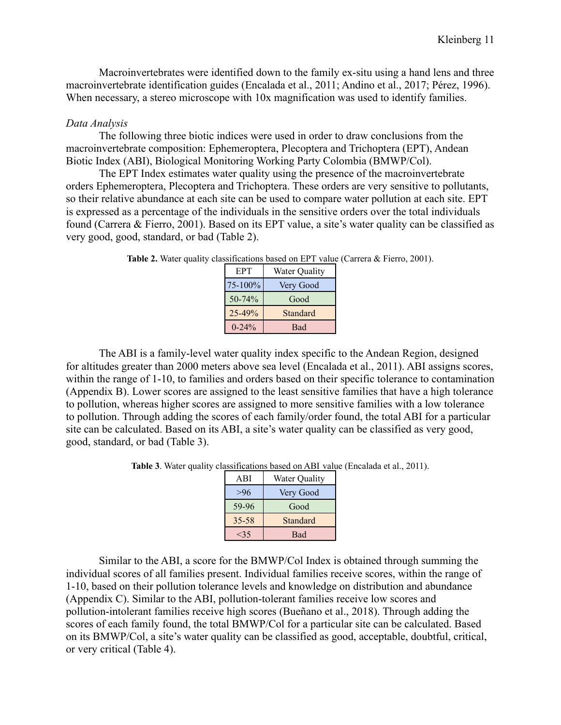Macroinvertebrates were identified down to the family ex-situ using a hand lens and three macroinvertebrate identification guides (Encalada et al., 2011; Andino et al., 2017; Pérez, 1996). When necessary, a stereo microscope with 10x magnification was used to identify families.

#### *Data Analysis*

The following three biotic indices were used in order to draw conclusions from the macroinvertebrate composition: Ephemeroptera, Plecoptera and Trichoptera (EPT), Andean Biotic Index (ABI), Biological Monitoring Working Party Colombia (BMWP/Col).

The EPT Index estimates water quality using the presence of the macroinvertebrate orders Ephemeroptera, Plecoptera and Trichoptera. These orders are very sensitive to pollutants, so their relative abundance at each site can be used to compare water pollution at each site. EPT is expressed as a percentage of the individuals in the sensitive orders over the total individuals found (Carrera & Fierro, 2001). Based on its EPT value, a site's water quality can be classified as very good, good, standard, or bad (Table 2).

| EPT        | Water Quality |
|------------|---------------|
| 75-100%    | Very Good     |
| 50-74%     | Good          |
| 25-49%     | Standard      |
| $0 - 24\%$ | <b>Bad</b>    |

**Table 2.** Water quality classifications based on EPT value (Carrera & Fierro, 2001).

The ABI is a family-level water quality index specific to the Andean Region, designed for altitudes greater than 2000 meters above sea level (Encalada et al., 2011). ABI assigns scores, within the range of 1-10, to families and orders based on their specific tolerance to contamination (Appendix B). Lower scores are assigned to the least sensitive families that have a high tolerance to pollution, whereas higher scores are assigned to more sensitive families with a low tolerance to pollution. Through adding the scores of each family/order found, the total ABI for a particular site can be calculated. Based on its ABI, a site's water quality can be classified as very good, good, standard, or bad (Table 3).

**Table 3**. Water quality classifications based on ABI value (Encalada et al., 2011).

| ABI       | Water Quality |
|-----------|---------------|
| >96       | Very Good     |
| 59-96     | Good          |
| $35 - 58$ | Standard      |
|           | <b>Bad</b>    |

Similar to the ABI, a score for the BMWP/Col Index is obtained through summing the individual scores of all families present. Individual families receive scores, within the range of 1-10, based on their pollution tolerance levels and knowledge on distribution and abundance (Appendix C). Similar to the ABI, pollution-tolerant families receive low scores and pollution-intolerant families receive high scores (Bueñano et al., 2018). Through adding the scores of each family found, the total BMWP/Col for a particular site can be calculated. Based on its BMWP/Col, a site's water quality can be classified as good, acceptable, doubtful, critical, or very critical (Table 4).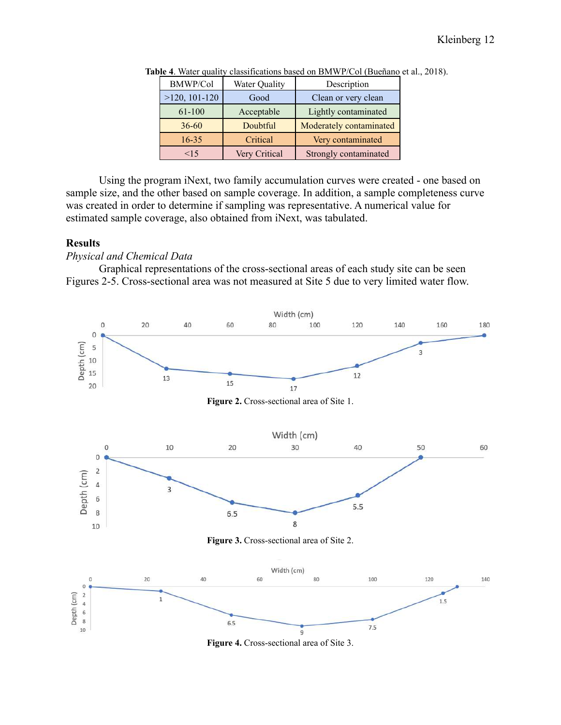| <b>BMWP/Col</b> | Water Quality | Description             |
|-----------------|---------------|-------------------------|
| $>120, 101-120$ | Good          | Clean or very clean     |
| 61-100          | Acceptable    | Lightly contaminated    |
| $36 - 60$       | Doubtful      | Moderately contaminated |
| $16-35$         | Critical      | Very contaminated       |
| 15              | Very Critical | Strongly contaminated   |

**Table 4**. Water quality classifications based on BMWP/Col (Bueñano et al., 2018).

Using the program iNext, two family accumulation curves were created - one based on sample size, and the other based on sample coverage. In addition, a sample completeness curve was created in order to determine if sampling was representative. A numerical value for estimated sample coverage, also obtained from iNext, was tabulated.

#### **Results**

*Physical and Chemical Data*

Graphical representations of the cross-sectional areas of each study site can be seen Figures 2-5. Cross-sectional area was not measured at Site 5 due to very limited water flow.



**Figure 4.** Cross-sectional area of Site 3.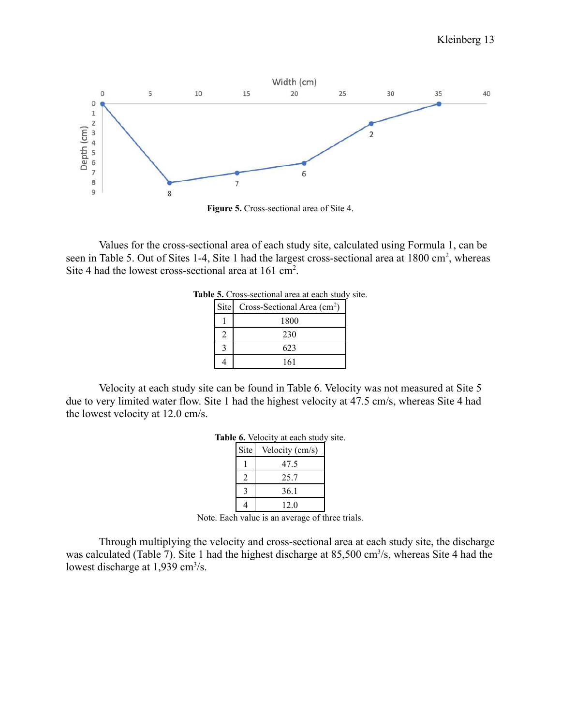

**Figure 5.** Cross-sectional area of Site 4.

Values for the cross-sectional area of each study site, calculated using Formula 1, can be seen in Table 5. Out of Sites 1-4, Site 1 had the largest cross-sectional area at 1800 cm<sup>2</sup>, whereas Site 4 had the lowest cross-sectional area at 161 cm<sup>2</sup>.

| Site | Cross-Sectional Area $(cm2)$ |
|------|------------------------------|
|      | 1800                         |
|      | 230                          |
|      | 623                          |
|      | 161                          |

|  | Table 5. Cross-sectional area at each study site. |  |  |  |
|--|---------------------------------------------------|--|--|--|
|  |                                                   |  |  |  |

Velocity at each study site can be found in Table 6. Velocity was not measured at Site 5 due to very limited water flow. Site 1 had the highest velocity at 47.5 cm/s, whereas Site 4 had the lowest velocity at 12.0 cm/s.

|      | ut ouver blue.  |
|------|-----------------|
| Site | Velocity (cm/s) |
|      | 47.5            |
|      | 25.7            |
|      | 36.1            |
|      | 12.0            |

| Table 6. Velocity at each study site. |  |  |
|---------------------------------------|--|--|
|                                       |  |  |

Through multiplying the velocity and cross-sectional area at each study site, the discharge was calculated (Table 7). Site 1 had the highest discharge at 85,500 cm<sup>3</sup>/s, whereas Site 4 had the lowest discharge at  $1,939$  cm<sup>3</sup>/s.

Note. Each value is an average of three trials.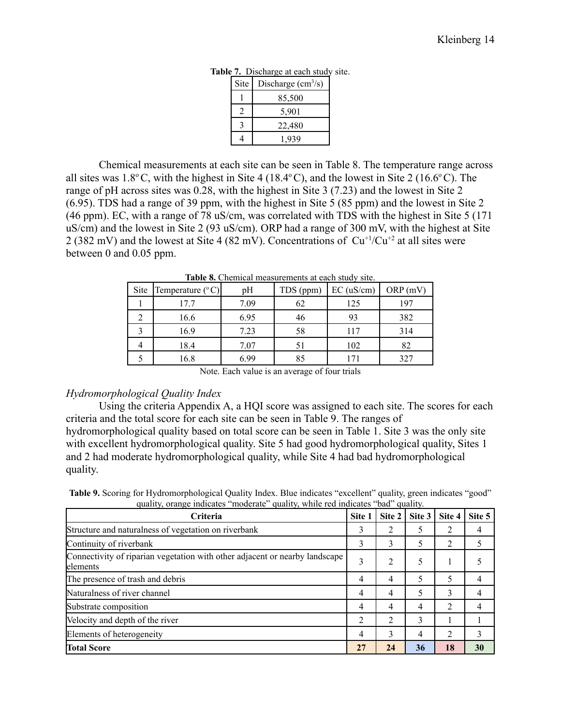| Site | Discharge $\text{cm}^3\text{/s}$ ) |
|------|------------------------------------|
|      | 85,500                             |
|      | 5,901                              |
|      | 22,480                             |
|      | 1.939                              |

**Table 7.** Discharge at each study site.

Chemical measurements at each site can be seen in Table 8. The temperature range across all sites was  $1.8^{\circ}$ C, with the highest in Site 4 (18.4 $^{\circ}$ C), and the lowest in Site 2 (16.6 $^{\circ}$ C). The range of pH across sites was 0.28, with the highest in Site 3 (7.23) and the lowest in Site 2 (6.95). TDS had a range of 39 ppm, with the highest in Site 5 (85 ppm) and the lowest in Site 2 (46 ppm). EC, with a range of 78 uS/cm, was correlated with TDS with the highest in Site 5 (171 uS/cm) and the lowest in Site 2 (93 uS/cm). ORP had a range of 300 mV, with the highest at Site 2 (382 mV) and the lowest at Site 4 (82 mV). Concentrations of  $Cu^{+1}/Cu^{+2}$  at all sites were between 0 and 0.05 ppm.

| THOIC OF CHUMMON MICHOICHOMO ON CHUM DIGGIT DICE. |                           |      |           |              |         |  |  |
|---------------------------------------------------|---------------------------|------|-----------|--------------|---------|--|--|
| Site                                              | Temperature $(^{\circ}C)$ | pH   | TDS (ppm) | $EC$ (uS/cm) | ORP(mV) |  |  |
|                                                   | 17.7                      | 7.09 | 62        | 125          | 197     |  |  |
|                                                   | 16.6                      | 6.95 | 46        | 93           | 382     |  |  |
|                                                   | 16.9                      | 7.23 | 58        | 117          | 314     |  |  |
|                                                   | 18.4                      | 7.07 |           | 102          | 82      |  |  |
|                                                   | 16.8                      | 6.99 | 85        |              | 327     |  |  |

**Table 8.** Chemical measurements at each study site.

Note. Each value is an average of four trials

#### *Hydromorphological Quality Index*

Using the criteria Appendix A, a HQI score was assigned to each site. The scores for each criteria and the total score for each site can be seen in Table 9. The ranges of

hydromorphological quality based on total score can be seen in Table 1. Site 3 was the only site with excellent hydromorphological quality. Site 5 had good hydromorphological quality, Sites 1 and 2 had moderate hydromorphological quality, while Site 4 had bad hydromorphological quality.

**Table 9.** Scoring for Hydromorphological Quality Index. Blue indicates "excellent" quality, green indicates "good" quality, orange indicates "moderate" quality, while red indicates "bad" quality.

| Criteria                                                                                | Site 1 | Site 2         | Site 3 | Site 4 | Site 5 |
|-----------------------------------------------------------------------------------------|--------|----------------|--------|--------|--------|
| Structure and naturalness of vegetation on riverbank                                    | 3      | າ              |        |        |        |
| Continuity of riverbank                                                                 | 3      | 3              | 5      | っ      |        |
| Connectivity of riparian vegetation with other adjacent or nearby landscape<br>elements | 3      | $\overline{2}$ | 5      |        |        |
| The presence of trash and debris                                                        | 4      | $\overline{4}$ | 5      | 5      |        |
| Naturalness of river channel                                                            |        | 4              |        | 3      |        |
| Substrate composition                                                                   |        | 4              | 4      |        |        |
| Velocity and depth of the river                                                         |        | $\overline{2}$ | 3      |        |        |
| Elements of heterogeneity                                                               |        | 3              | 4      | ↑      |        |
| <b>Total Score</b>                                                                      | 27     | 24             | 36     | 18     | 30     |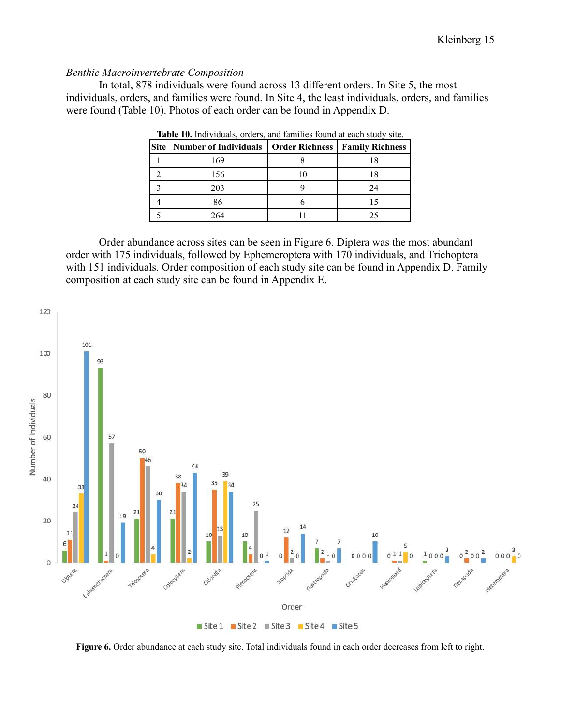#### *Benthic Macroinvertebrate Composition*

In total, 878 individuals were found across 13 different orders. In Site 5, the most individuals, orders, and families were found. In Site 4, the least individuals, orders, and families were found (Table 10). Photos of each order can be found in Appendix D.

| Site   Number of Individuals   Order Richness | <b>Family Richness</b> |
|-----------------------------------------------|------------------------|
| 169                                           |                        |
| 156                                           |                        |
| 203                                           | 24                     |
|                                               |                        |
| 264                                           |                        |

**Table 10.** Individuals, orders, and families found at each study site.

Order abundance across sites can be seen in Figure 6. Diptera was the most abundant order with 175 individuals, followed by Ephemeroptera with 170 individuals, and Trichoptera with 151 individuals. Order composition of each study site can be found in Appendix D. Family composition at each study site can be found in Appendix E.



**Figure 6.** Order abundance at each study site. Total individuals found in each order decreases from left to right.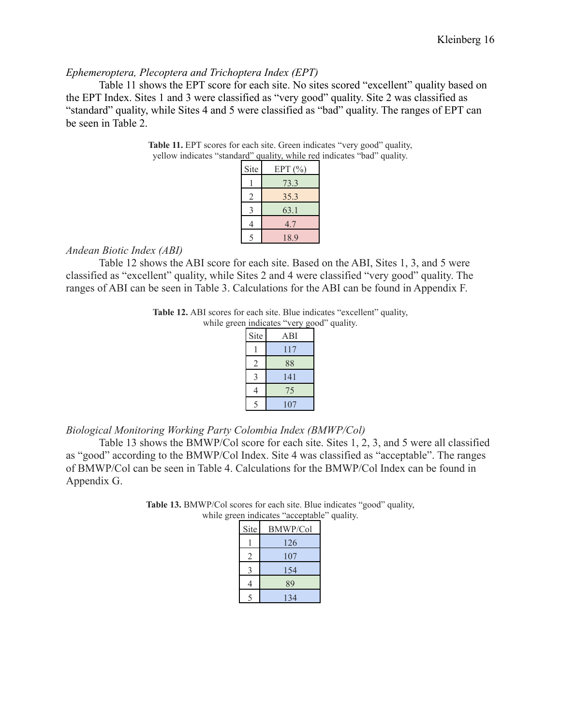#### *Ephemeroptera, Plecoptera and Trichoptera Index (EPT)*

Table 11 shows the EPT score for each site. No sites scored "excellent" quality based on the EPT Index. Sites 1 and 3 were classified as "very good" quality. Site 2 was classified as "standard" quality, while Sites 4 and 5 were classified as "bad" quality. The ranges of EPT can be seen in Table 2.

| Site           | EPT(%) |
|----------------|--------|
|                | 73.3   |
| $\overline{2}$ | 35.3   |
| 3              | 63.1   |
| 4              | 4.7    |
| $\varsigma$    | 18.9   |

**Table 11.** EPT scores for each site. Green indicates "very good" quality, yellow indicates "standard" quality, while red indicates "bad" quality.

#### *Andean Biotic Index (ABI)*

Table 12 shows the ABI score for each site. Based on the ABI, Sites 1, 3, and 5 were classified as "excellent" quality, while Sites 2 and 4 were classified "very good" quality. The ranges of ABI can be seen in Table 3. Calculations for the ABI can be found in Appendix F.

**Table 12.** ABI scores for each site. Blue indicates "excellent" quality,

| while green indicates "very good" quality. |      |     |  |  |
|--------------------------------------------|------|-----|--|--|
|                                            | Site | ABI |  |  |
|                                            |      | 117 |  |  |
|                                            | 2    | 88  |  |  |
|                                            |      | 141 |  |  |
|                                            |      | 75  |  |  |
|                                            |      |     |  |  |

#### *Biological Monitoring Working Party Colombia Index (BMWP/Col)*

Table 13 shows the BMWP/Col score for each site. Sites 1, 2, 3, and 5 were all classified as "good" according to the BMWP/Col Index. Site 4 was classified as "acceptable". The ranges of BMWP/Col can be seen in Table 4. Calculations for the BMWP/Col Index can be found in Appendix G.

> **Table 13.** BMWP/Col scores for each site. Blue indicates "good" quality, while green indicates "acceptable" quality.

| Site | <b>BMWP/Col</b> |
|------|-----------------|
|      | 126             |
| 2    | 107             |
| 3    | 154             |
| 4    | 89              |
|      | 134             |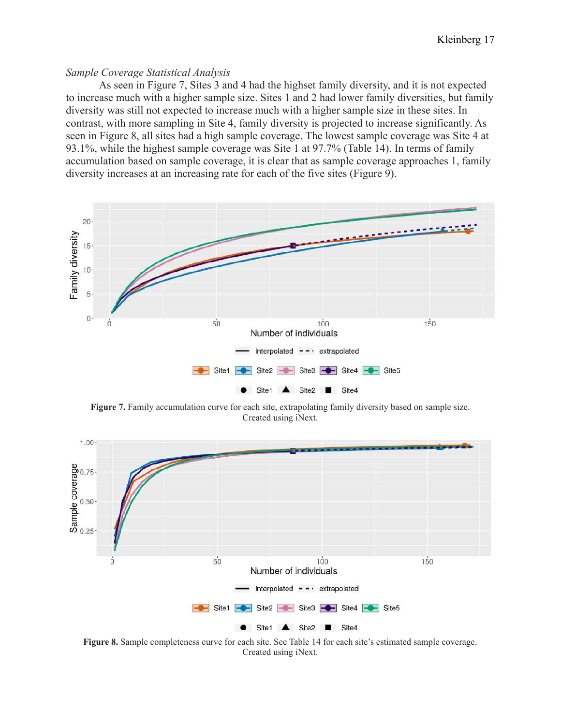#### *Sample Coverage Statistical Analysis*

As seen in Figure 7, Sites 3 and 4 had the highset family diversity, and it is not expected to increase much with a higher sample size. Sites 1 and 2 had lower family diversities, but family diversity was still not expected to increase much with a higher sample size in these sites. In contrast, with more sampling in Site 4, family diversity is projected to increase significantly. As seen in Figure 8, all sites had a high sample coverage. The lowest sample coverage was Site 4 at 93.1%, while the highest sample coverage was Site 1 at 97.7% (Table 14). In terms of family accumulation based on sample coverage, it is clear that as sample coverage approaches 1, family diversity increases at an increasing rate for each of the five sites (Figure 9).



**Figure 7.** Family accumulation curve for each site, extrapolating family diversity based on sample size. Created using iNext.



**Figure 8.** Sample completeness curve for each site. See Table 14 for each site's estimated sample coverage. Created using iNext.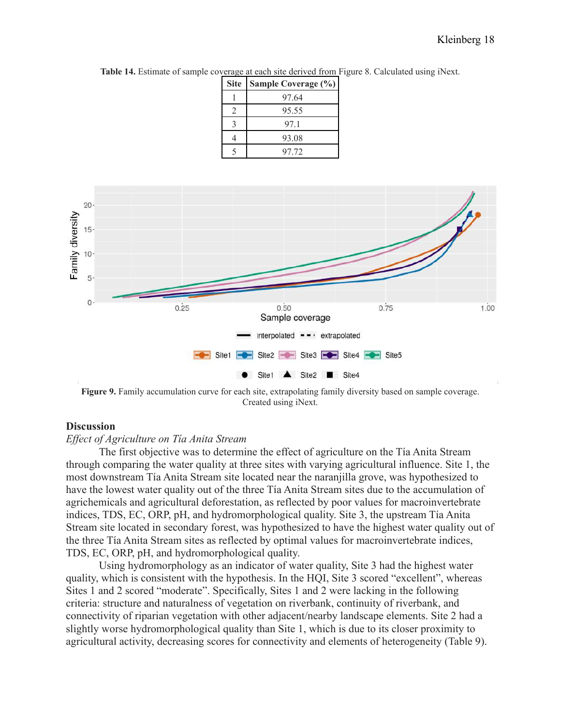| <b>Site</b> | Sample Coverage (%) |
|-------------|---------------------|
|             | 97.64               |
|             | 95.55               |
| κ           | 971                 |
|             | 93.08               |
|             | 97 72               |

**Table 14.** Estimate of sample coverage at each site derived from Figure 8. Calculated using iNext.



**Figure 9.** Family accumulation curve for each site, extrapolating family diversity based on sample coverage. Created using iNext.

#### **Discussion**

#### *Effect of Agriculture on Tía Anita Stream*

The first objective was to determine the effect of agriculture on the Tía Anita Stream through comparing the water quality at three sites with varying agricultural influence. Site 1, the most downstream Tía Anita Stream site located near the naranjilla grove, was hypothesized to have the lowest water quality out of the three Tía Anita Stream sites due to the accumulation of agrichemicals and agricultural deforestation, as reflected by poor values for macroinvertebrate indices, TDS, EC, ORP, pH, and hydromorphological quality. Site 3, the upstream Tía Anita Stream site located in secondary forest, was hypothesized to have the highest water quality out of the three Tía Anita Stream sites as reflected by optimal values for macroinvertebrate indices, TDS, EC, ORP, pH, and hydromorphological quality.

Using hydromorphology as an indicator of water quality, Site 3 had the highest water quality, which is consistent with the hypothesis. In the HQI, Site 3 scored "excellent", whereas Sites 1 and 2 scored "moderate". Specifically, Sites 1 and 2 were lacking in the following criteria: structure and naturalness of vegetation on riverbank, continuity of riverbank, and connectivity of riparian vegetation with other adjacent/nearby landscape elements. Site 2 had a slightly worse hydromorphological quality than Site 1, which is due to its closer proximity to agricultural activity, decreasing scores for connectivity and elements of heterogeneity (Table 9).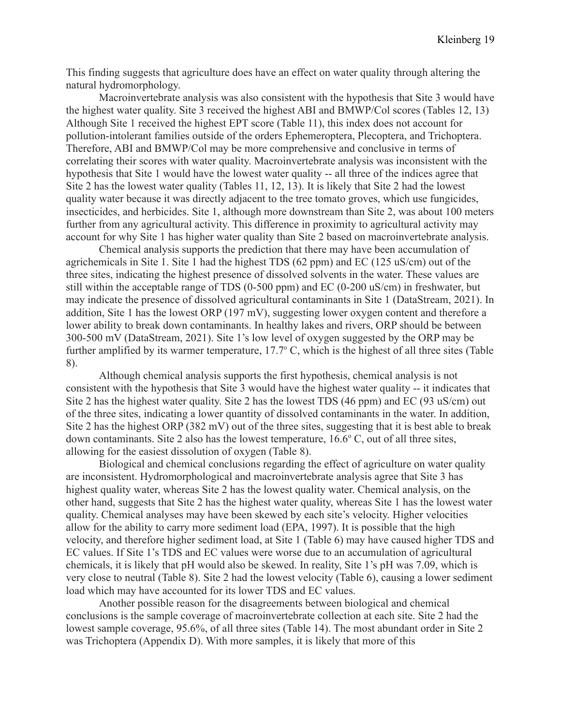This finding suggests that agriculture does have an effect on water quality through altering the natural hydromorphology.

Macroinvertebrate analysis was also consistent with the hypothesis that Site 3 would have the highest water quality. Site 3 received the highest ABI and BMWP/Col scores (Tables 12, 13) Although Site 1 received the highest EPT score (Table 11), this index does not account for pollution-intolerant families outside of the orders Ephemeroptera, Plecoptera, and Trichoptera. Therefore, ABI and BMWP/Col may be more comprehensive and conclusive in terms of correlating their scores with water quality. Macroinvertebrate analysis was inconsistent with the hypothesis that Site 1 would have the lowest water quality -- all three of the indices agree that Site 2 has the lowest water quality (Tables 11, 12, 13). It is likely that Site 2 had the lowest quality water because it was directly adjacent to the tree tomato groves, which use fungicides, insecticides, and herbicides. Site 1, although more downstream than Site 2, was about 100 meters further from any agricultural activity. This difference in proximity to agricultural activity may account for why Site 1 has higher water quality than Site 2 based on macroinvertebrate analysis.

Chemical analysis supports the prediction that there may have been accumulation of agrichemicals in Site 1. Site 1 had the highest TDS (62 ppm) and EC (125 uS/cm) out of the three sites, indicating the highest presence of dissolved solvents in the water. These values are still within the acceptable range of TDS (0-500 ppm) and EC (0-200 uS/cm) in freshwater, but may indicate the presence of dissolved agricultural contaminants in Site 1 (DataStream, 2021). In addition, Site 1 has the lowest ORP (197 mV), suggesting lower oxygen content and therefore a lower ability to break down contaminants. In healthy lakes and rivers, ORP should be between 300-500 mV (DataStream, 2021). Site 1's low level of oxygen suggested by the ORP may be further amplified by its warmer temperature,  $17.7^{\circ}$  C, which is the highest of all three sites (Table 8).

Although chemical analysis supports the first hypothesis, chemical analysis is not consistent with the hypothesis that Site 3 would have the highest water quality -- it indicates that Site 2 has the highest water quality. Site 2 has the lowest TDS (46 ppm) and EC (93 uS/cm) out of the three sites, indicating a lower quantity of dissolved contaminants in the water. In addition, Site 2 has the highest ORP (382 mV) out of the three sites, suggesting that it is best able to break down contaminants. Site 2 also has the lowest temperature,  $16.6^{\circ}$  C, out of all three sites, allowing for the easiest dissolution of oxygen (Table 8).

Biological and chemical conclusions regarding the effect of agriculture on water quality are inconsistent. Hydromorphological and macroinvertebrate analysis agree that Site 3 has highest quality water, whereas Site 2 has the lowest quality water. Chemical analysis, on the other hand, suggests that Site 2 has the highest water quality, whereas Site 1 has the lowest water quality. Chemical analyses may have been skewed by each site's velocity. Higher velocities allow for the ability to carry more sediment load (EPA, 1997). It is possible that the high velocity, and therefore higher sediment load, at Site 1 (Table 6) may have caused higher TDS and EC values. If Site 1's TDS and EC values were worse due to an accumulation of agricultural chemicals, it is likely that pH would also be skewed. In reality, Site 1's pH was 7.09, which is very close to neutral (Table 8). Site 2 had the lowest velocity (Table 6), causing a lower sediment load which may have accounted for its lower TDS and EC values.

Another possible reason for the disagreements between biological and chemical conclusions is the sample coverage of macroinvertebrate collection at each site. Site 2 had the lowest sample coverage, 95.6%, of all three sites (Table 14). The most abundant order in Site 2 was Trichoptera (Appendix D). With more samples, it is likely that more of this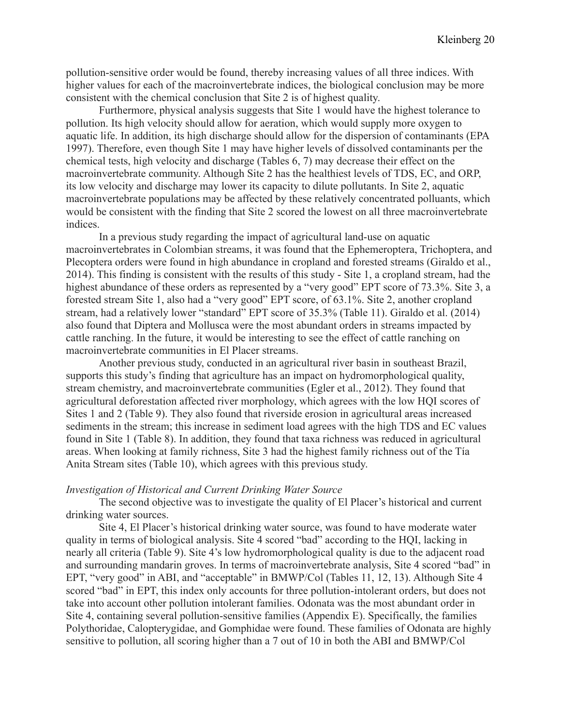pollution-sensitive order would be found, thereby increasing values of all three indices. With higher values for each of the macroinvertebrate indices, the biological conclusion may be more consistent with the chemical conclusion that Site 2 is of highest quality.

Furthermore, physical analysis suggests that Site 1 would have the highest tolerance to pollution. Its high velocity should allow for aeration, which would supply more oxygen to aquatic life. In addition, its high discharge should allow for the dispersion of contaminants (EPA 1997). Therefore, even though Site 1 may have higher levels of dissolved contaminants per the chemical tests, high velocity and discharge (Tables 6, 7) may decrease their effect on the macroinvertebrate community. Although Site 2 has the healthiest levels of TDS, EC, and ORP, its low velocity and discharge may lower its capacity to dilute pollutants. In Site 2, aquatic macroinvertebrate populations may be affected by these relatively concentrated polluants, which would be consistent with the finding that Site 2 scored the lowest on all three macroinvertebrate indices.

In a previous study regarding the impact of agricultural land-use on aquatic macroinvertebrates in Colombian streams, it was found that the Ephemeroptera, Trichoptera, and Plecoptera orders were found in high abundance in cropland and forested streams (Giraldo et al., 2014). This finding is consistent with the results of this study - Site 1, a cropland stream, had the highest abundance of these orders as represented by a "very good" EPT score of 73.3%. Site 3, a forested stream Site 1, also had a "very good" EPT score, of 63.1%. Site 2, another cropland stream, had a relatively lower "standard" EPT score of 35.3% (Table 11). Giraldo et al. (2014) also found that Diptera and Mollusca were the most abundant orders in streams impacted by cattle ranching. In the future, it would be interesting to see the effect of cattle ranching on macroinvertebrate communities in El Placer streams.

Another previous study, conducted in an agricultural river basin in southeast Brazil, supports this study's finding that agriculture has an impact on hydromorphological quality, stream chemistry, and macroinvertebrate communities (Egler et al., 2012). They found that agricultural deforestation affected river morphology, which agrees with the low HQI scores of Sites 1 and 2 (Table 9). They also found that riverside erosion in agricultural areas increased sediments in the stream; this increase in sediment load agrees with the high TDS and EC values found in Site 1 (Table 8). In addition, they found that taxa richness was reduced in agricultural areas. When looking at family richness, Site 3 had the highest family richness out of the Tía Anita Stream sites (Table 10), which agrees with this previous study.

#### *Investigation of Historical and Current Drinking Water Source*

The second objective was to investigate the quality of El Placer's historical and current drinking water sources.

Site 4, El Placer's historical drinking water source, was found to have moderate water quality in terms of biological analysis. Site 4 scored "bad" according to the HQI, lacking in nearly all criteria (Table 9). Site 4's low hydromorphological quality is due to the adjacent road and surrounding mandarin groves. In terms of macroinvertebrate analysis, Site 4 scored "bad" in EPT, "very good" in ABI, and "acceptable" in BMWP/Col (Tables 11, 12, 13). Although Site 4 scored "bad" in EPT, this index only accounts for three pollution-intolerant orders, but does not take into account other pollution intolerant families. Odonata was the most abundant order in Site 4, containing several pollution-sensitive families (Appendix E). Specifically, the families Polythoridae, Calopterygidae, and Gomphidae were found. These families of Odonata are highly sensitive to pollution, all scoring higher than a 7 out of 10 in both the ABI and BMWP/Col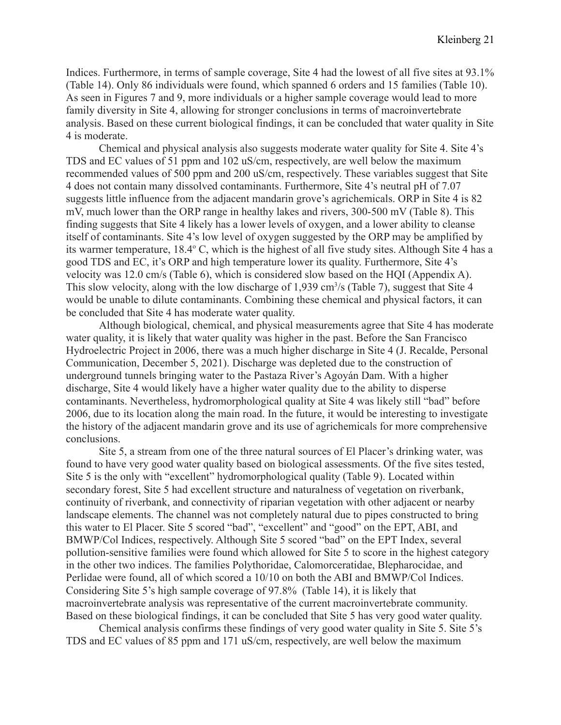Indices. Furthermore, in terms of sample coverage, Site 4 had the lowest of all five sites at 93.1% (Table 14). Only 86 individuals were found, which spanned 6 orders and 15 families (Table 10). As seen in Figures 7 and 9, more individuals or a higher sample coverage would lead to more family diversity in Site 4, allowing for stronger conclusions in terms of macroinvertebrate analysis. Based on these current biological findings, it can be concluded that water quality in Site 4 is moderate.

Chemical and physical analysis also suggests moderate water quality for Site 4. Site 4's TDS and EC values of 51 ppm and 102 uS/cm, respectively, are well below the maximum recommended values of 500 ppm and 200 uS/cm, respectively. These variables suggest that Site 4 does not contain many dissolved contaminants. Furthermore, Site 4's neutral pH of 7.07 suggests little influence from the adjacent mandarin grove's agrichemicals. ORP in Site 4 is 82 mV, much lower than the ORP range in healthy lakes and rivers, 300-500 mV (Table 8). This finding suggests that Site 4 likely has a lower levels of oxygen, and a lower ability to cleanse itself of contaminants. Site 4's low level of oxygen suggested by the ORP may be amplified by its warmer temperature, 18.4° C, which is the highest of all five study sites. Although Site 4 has a good TDS and EC, it's ORP and high temperature lower its quality. Furthermore, Site 4's velocity was 12.0 cm/s (Table 6), which is considered slow based on the HQI (Appendix A). This slow velocity, along with the low discharge of 1,939 cm<sup>3</sup>/s (Table 7), suggest that Site 4 would be unable to dilute contaminants. Combining these chemical and physical factors, it can be concluded that Site 4 has moderate water quality.

Although biological, chemical, and physical measurements agree that Site 4 has moderate water quality, it is likely that water quality was higher in the past. Before the San Francisco Hydroelectric Project in 2006, there was a much higher discharge in Site 4 (J. Recalde, Personal Communication, December 5, 2021). Discharge was depleted due to the construction of underground tunnels bringing water to the Pastaza River's Agoyán Dam. With a higher discharge, Site 4 would likely have a higher water quality due to the ability to disperse contaminants. Nevertheless, hydromorphological quality at Site 4 was likely still "bad" before 2006, due to its location along the main road. In the future, it would be interesting to investigate the history of the adjacent mandarin grove and its use of agrichemicals for more comprehensive conclusions.

Site 5, a stream from one of the three natural sources of El Placer's drinking water, was found to have very good water quality based on biological assessments. Of the five sites tested, Site 5 is the only with "excellent" hydromorphological quality (Table 9). Located within secondary forest, Site 5 had excellent structure and naturalness of vegetation on riverbank, continuity of riverbank, and connectivity of riparian vegetation with other adjacent or nearby landscape elements. The channel was not completely natural due to pipes constructed to bring this water to El Placer. Site 5 scored "bad", "excellent" and "good" on the EPT, ABI, and BMWP/Col Indices, respectively. Although Site 5 scored "bad" on the EPT Index, several pollution-sensitive families were found which allowed for Site 5 to score in the highest category in the other two indices. The families Polythoridae, Calomorceratidae, Blepharocidae, and Perlidae were found, all of which scored a 10/10 on both the ABI and BMWP/Col Indices. Considering Site 5's high sample coverage of 97.8% (Table 14), it is likely that macroinvertebrate analysis was representative of the current macroinvertebrate community. Based on these biological findings, it can be concluded that Site 5 has very good water quality.

Chemical analysis confirms these findings of very good water quality in Site 5. Site 5's TDS and EC values of 85 ppm and 171 uS/cm, respectively, are well below the maximum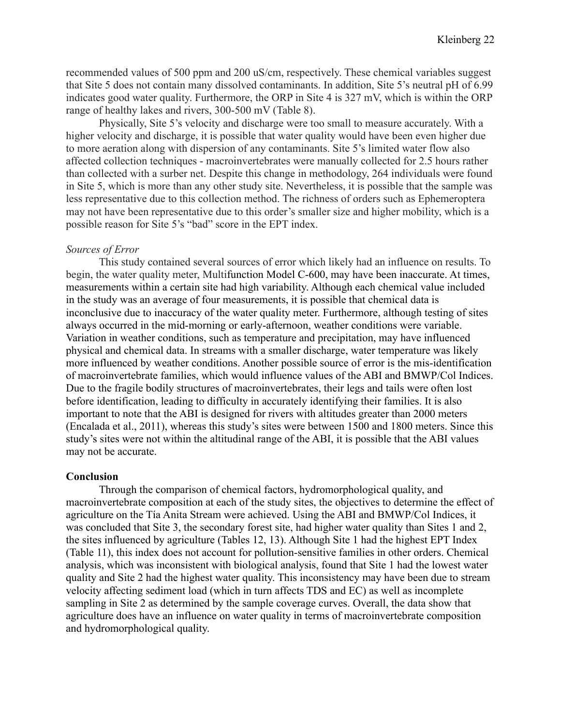recommended values of 500 ppm and 200 uS/cm, respectively. These chemical variables suggest that Site 5 does not contain many dissolved contaminants. In addition, Site 5's neutral pH of 6.99 indicates good water quality. Furthermore, the ORP in Site 4 is 327 mV, which is within the ORP range of healthy lakes and rivers, 300-500 mV (Table 8).

Physically, Site 5's velocity and discharge were too small to measure accurately. With a higher velocity and discharge, it is possible that water quality would have been even higher due to more aeration along with dispersion of any contaminants. Site 5's limited water flow also affected collection techniques - macroinvertebrates were manually collected for 2.5 hours rather than collected with a surber net. Despite this change in methodology, 264 individuals were found in Site 5, which is more than any other study site. Nevertheless, it is possible that the sample was less representative due to this collection method. The richness of orders such as Ephemeroptera may not have been representative due to this order's smaller size and higher mobility, which is a possible reason for Site 5's "bad" score in the EPT index.

#### *Sources of Error*

This study contained several sources of error which likely had an influence on results. To begin, the water quality meter, Multifunction Model C-600, may have been inaccurate. At times, measurements within a certain site had high variability. Although each chemical value included in the study was an average of four measurements, it is possible that chemical data is inconclusive due to inaccuracy of the water quality meter. Furthermore, although testing of sites always occurred in the mid-morning or early-afternoon, weather conditions were variable. Variation in weather conditions, such as temperature and precipitation, may have influenced physical and chemical data. In streams with a smaller discharge, water temperature was likely more influenced by weather conditions. Another possible source of error is the mis-identification of macroinvertebrate families, which would influence values of the ABI and BMWP/Col Indices. Due to the fragile bodily structures of macroinvertebrates, their legs and tails were often lost before identification, leading to difficulty in accurately identifying their families. It is also important to note that the ABI is designed for rivers with altitudes greater than 2000 meters (Encalada et al., 2011), whereas this study's sites were between 1500 and 1800 meters. Since this study's sites were not within the altitudinal range of the ABI, it is possible that the ABI values may not be accurate.

#### **Conclusion**

Through the comparison of chemical factors, hydromorphological quality, and macroinvertebrate composition at each of the study sites, the objectives to determine the effect of agriculture on the Tía Anita Stream were achieved. Using the ABI and BMWP/Col Indices, it was concluded that Site 3, the secondary forest site, had higher water quality than Sites 1 and 2, the sites influenced by agriculture (Tables 12, 13). Although Site 1 had the highest EPT Index (Table 11), this index does not account for pollution-sensitive families in other orders. Chemical analysis, which was inconsistent with biological analysis, found that Site 1 had the lowest water quality and Site 2 had the highest water quality. This inconsistency may have been due to stream velocity affecting sediment load (which in turn affects TDS and EC) as well as incomplete sampling in Site 2 as determined by the sample coverage curves. Overall, the data show that agriculture does have an influence on water quality in terms of macroinvertebrate composition and hydromorphological quality.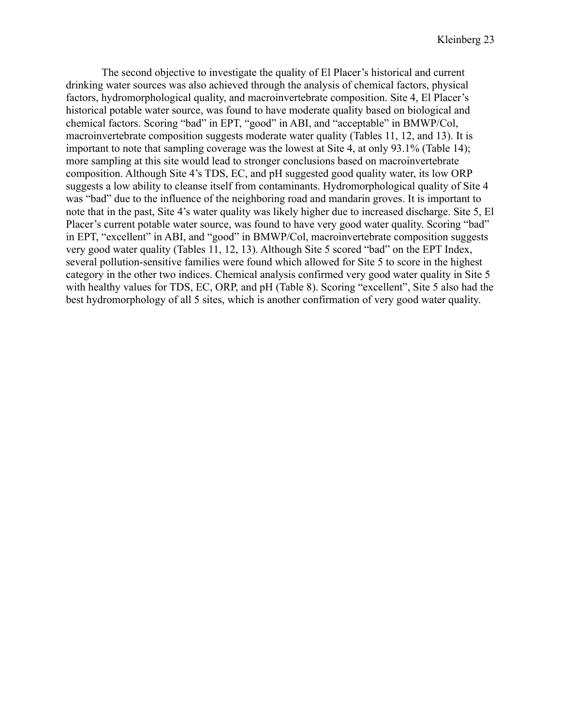The second objective to investigate the quality of El Placer's historical and current drinking water sources was also achieved through the analysis of chemical factors, physical factors, hydromorphological quality, and macroinvertebrate composition. Site 4, El Placer's historical potable water source, was found to have moderate quality based on biological and chemical factors. Scoring "bad" in EPT, "good" in ABI, and "acceptable" in BMWP/Col, macroinvertebrate composition suggests moderate water quality (Tables 11, 12, and 13). It is important to note that sampling coverage was the lowest at Site 4, at only 93.1% (Table 14); more sampling at this site would lead to stronger conclusions based on macroinvertebrate composition. Although Site 4's TDS, EC, and pH suggested good quality water, its low ORP suggests a low ability to cleanse itself from contaminants. Hydromorphological quality of Site 4 was "bad" due to the influence of the neighboring road and mandarin groves. It is important to note that in the past, Site 4's water quality was likely higher due to increased discharge. Site 5, El Placer's current potable water source, was found to have very good water quality. Scoring "bad" in EPT, "excellent" in ABI, and "good" in BMWP/Col, macroinvertebrate composition suggests very good water quality (Tables 11, 12, 13). Although Site 5 scored "bad" on the EPT Index, several pollution-sensitive families were found which allowed for Site 5 to score in the highest category in the other two indices. Chemical analysis confirmed very good water quality in Site 5 with healthy values for TDS, EC, ORP, and pH (Table 8). Scoring "excellent", Site 5 also had the best hydromorphology of all 5 sites, which is another confirmation of very good water quality.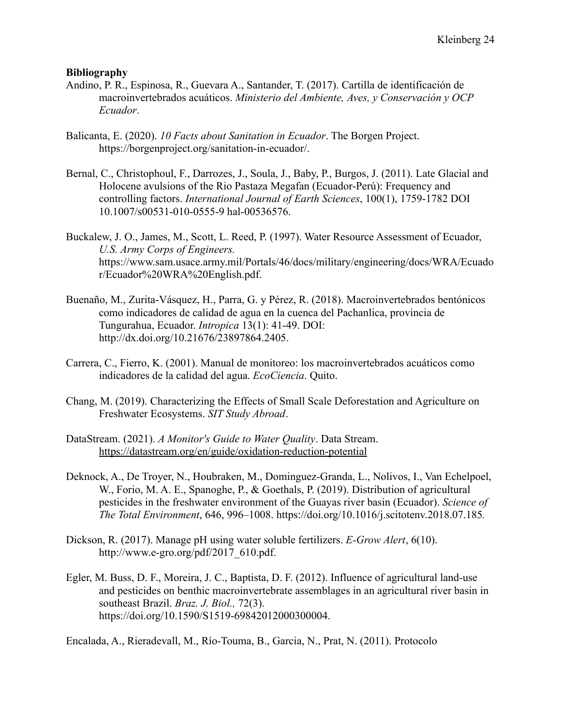#### **Bibliography**

- Andino, P. R., Espinosa, R., Guevara A., Santander, T. (2017). Cartilla de identificación de macroinvertebrados acuáticos. *Ministerio del Ambiente, Aves, y Conservación y OCP Ecuador*.
- Balicanta, E. (2020). *10 Facts about Sanitation in Ecuador*. The Borgen Project. <https://borgenproject.org/sanitation-in-ecuador/>.
- Bernal, C., Christophoul, F., Darrozes, J., Soula, J., Baby, P., Burgos, J. (2011). Late Glacial and Holocene avulsions of the Rio Pastaza Megafan (Ecuador-Perú): Frequency and controlling factors. *International Journal of Earth Sciences*, 100(1), 1759-1782 DOI 10.1007/s00531-010-0555-9 hal-00536576.
- Buckalew, J. O., James, M., Scott, L. Reed, P. (1997). Water Resource Assessment of Ecuador, *U.S. Army Corps of Engineers.* [https://www.sam.usace.army.mil/Portals/46/docs/military/engineering/docs/WRA/Ecuado](https://www.sam.usace.army.mil/Portals/46/docs/military/engineering/docs/WRA/Ecuador/Ecuador%20WRA%20English.pdf) [r/Ecuador%20WRA%20English.pdf.](https://www.sam.usace.army.mil/Portals/46/docs/military/engineering/docs/WRA/Ecuador/Ecuador%20WRA%20English.pdf)
- Buenaño, M., Zurita-Vásquez, H., Parra, G. y Pérez, R. (2018). Macroinvertebrados bentónicos como indicadores de calidad de agua en la cuenca del Pachanlica, provincia de Tungurahua, Ecuador. *Intropica* 13(1): 41-49. DOI: http://dx.doi.org/10.21676/23897864.2405.
- Carrera, C., Fierro, K. (2001). Manual de monitoreo: los macroinvertebrados acuáticos como indicadores de la calidad del agua. *EcoCiencia*. Quito.
- Chang, M. (2019). Characterizing the Effects of Small Scale Deforestation and Agriculture on Freshwater Ecosystems. *SIT Study Abroad*.
- DataStream. (2021). *A Monitor's Guide to Water Quality*. Data Stream. <https://datastream.org/en/guide/oxidation-reduction-potential>
- [Deknock, A., De Troyer, N., Houbraken, M., Dominguez-Granda, L., Nolivos, I., Van Echelpoel,](https://www.zotero.org/google-docs/?broken=7MdAbo) [W., Forio, M. A. E., Spanoghe, P., & Goethals, P. \(2019\). Distribution of agricultural](https://www.zotero.org/google-docs/?broken=7MdAbo) [pesticides in the freshwater environment of the Guayas river basin \(Ecuador\).](https://www.zotero.org/google-docs/?broken=7MdAbo) *Science of [The Total Environment](https://www.zotero.org/google-docs/?broken=7MdAbo)*, 646, 996–1008. <https://doi.org/10.1016/j.scitotenv.2018.07.185>*.*
- Dickson, R. (2017). Manage pH using water soluble fertilizers. *E-Grow Alert*, 6(10). [http://www.e-gro.org/pdf/2017\\_610.pdf.](http://www.e-gro.org/pdf/2017_610.pdf)
- Egler, M. Buss, D. F., Moreira, J. C., Baptista, D. F. (2012). Influence of agricultural land-use and pesticides on benthic macroinvertebrate assemblages in an agricultural river basin in southeast Brazil. *Braz. J. Biol.,* 72(3). https://doi.org/10.1590/S1519-69842012000300004.

Encalada, A., Rieradevall, M., Río-Touma, B., Garcia, N., Prat, N. (2011). Protocolo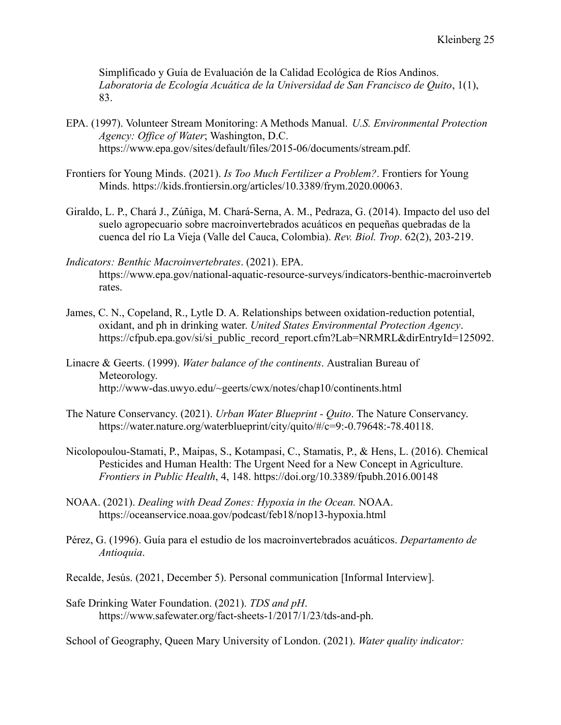Simplificado y Guía de Evaluación de la Calidad Ecológica de Ríos Andinos. *Laboratoria de Ecología Acuática de la Universidad de San Francisco de Quito*, 1(1), 83.

- EPA. (1997). Volunteer Stream Monitoring: A Methods Manual. *U.S. Environmental Protection Agency: Office of Water*; Washington, D.C. https://www.epa.gov/sites/default/files/2015-06/documents/stream.pdf.
- Frontiers for Young Minds. (2021). *[Is Too Much Fertilizer](https://www.zotero.org/google-docs/?broken=TNAE1D) a Problem?*. Frontiers for Young Minds. [https://kids.frontiersin.org/articles/10.3389/frym.2020.00063.](https://kids.frontiersin.org/articles/10.3389/frym.2020.00063)
- Giraldo, L. P., Chará J., Zúñiga, M. Chará-Serna, A. M., Pedraza, G. (2014). Impacto del uso del suelo agropecuario sobre macroinvertebrados acuáticos en pequeñas quebradas de la cuenca del río La Vieja (Valle del Cauca, Colombia). *Rev. Biol. Trop*. 62(2), 203-219.
- *Indicators: Benthic Macroinvertebrates*. (2021). EPA. [https://www.epa.gov/national-aquatic-resource-surveys/indicators-benthic-macroinverteb](https://www.epa.gov/national-aquatic-resource-surveys/indicators-benthic-macroinvertebrates) [rates.](https://www.epa.gov/national-aquatic-resource-surveys/indicators-benthic-macroinvertebrates)
- James, C. N., Copeland, R., Lytle D. A. Relationships between oxidation-reduction potential, oxidant, and ph in drinking water. *United States Environmental Protection Agency*. [https://cfpub.epa.gov/si/si\\_public\\_record\\_report.cfm?Lab=NRMRL&dirEntryId=125092](https://cfpub.epa.gov/si/si_public_record_report.cfm?Lab=NRMRL&dirEntryId=125092).
- Linacre & Geerts. (1999). *Water balance of the continents*. Australian Bureau of Meteorology. <http://www-das.uwyo.edu/~geerts/cwx/notes/chap10/continents.html>
- The Nature Conservancy. (2021). *Urban Water Blueprint Quito*. The Nature Conservancy. [https://water.nature.org/waterblueprint/city/quito/#/c=9:-0.79648:-78.40118.](https://water.nature.org/waterblueprint/city/quito/#/c=9:-0.79648:-78.40118)
- [Nicolopoulou-Stamati, P., Maipas, S., Kotampasi, C., Stamatis, P., & Hens, L. \(2016\). Chemical](https://www.zotero.org/google-docs/?broken=Z6YgB4) [Pesticides and Human Health: The Urgent Need for a New Concept in Agriculture.](https://www.zotero.org/google-docs/?broken=Z6YgB4) *[Frontiers in Public Health](https://www.zotero.org/google-docs/?broken=Z6YgB4)*, 4, 148. <https://doi.org/10.3389/fpubh.2016.00148>
- NOAA. (2021). *Dealing with Dead Zones: Hypoxia in the Ocean.* NOAA. <https://oceanservice.noaa.gov/podcast/feb18/nop13-hypoxia.html>
- Pérez, G. (1996). Guía para el estudio de los macroinvertebrados acuáticos. *Departamento de Antioquia*.
- Recalde, Jesús. (2021, December 5). Personal communication [Informal Interview].
- Safe Drinking Water Foundation. (2021). *TDS and pH*. [https://www.safewater.org/fact-sheets-1/2017/1/23/tds-and-ph.](https://www.safewater.org/fact-sheets-1/2017/1/23/tds-and-ph)

School of Geography, Queen Mary University of London. (2021). *Water quality indicator:*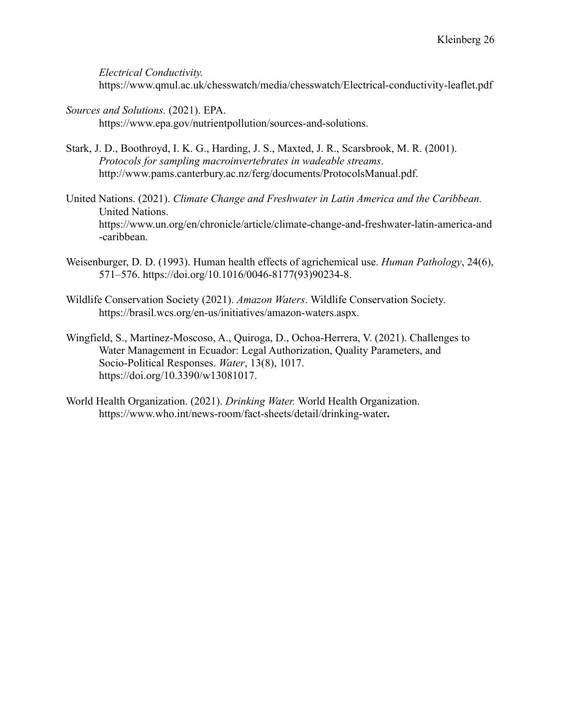*Electrical Conductivity.*

<https://www.qmul.ac.uk/chesswatch/media/chesswatch/Electrical-conductivity-leaflet.pdf>

- *Sources and Solutions.* (2021). EPA. <https://www.epa.gov/nutrientpollution/sources-and-solutions>.
- Stark, J. D., Boothroyd, I. K. G., Harding, J. S., Maxted, J. R., Scarsbrook, M. R. (2001). *Protocols for sampling macroinvertebrates in wadeable streams*. http://www.pams.canterbury.ac.nz/ferg/documents/ProtocolsManual.pdf.
- United Nations. (2021). *Climate Change and Freshwater [in Latin America and the Caribbean.](https://www.zotero.org/google-docs/?broken=LmVSjb)* [United Nations.](https://www.zotero.org/google-docs/?broken=ff3ydm) [https://www.un.org/en/chronicle/article/climate-change-and-freshwater-latin-america-and](https://www.un.org/en/chronicle/article/climate-change-and-freshwater-latin-america-and-caribbean) [-caribbean.](https://www.un.org/en/chronicle/article/climate-change-and-freshwater-latin-america-and-caribbean)
- [Weisenburger, D. D. \(1993\). Human health effects of agrichemical use.](https://www.zotero.org/google-docs/?broken=hXO5Gb) *Human Pathology*, 24(6), [571–576.](https://www.zotero.org/google-docs/?broken=hXO5Gb) [https://doi.org/10.1016/0046-8177\(93\)90234-8](https://doi.org/10.1016/0046-8177(93)90234-8).
- Wildlife Conservation Society (2021). *Amazon Waters*. [Wildlife Conservation Society.](https://www.zotero.org/google-docs/?broken=AUxqRC) [https://brasil.wcs.org/en-us/initiatives/amazon-waters.aspx](https://www.zotero.org/google-docs/?broken=q99F1h).
- Wingfield, S., Martínez-Moscoso, A., Quiroga, D., Ochoa-Herrera, V. (2021). Challenges to Water Management in Ecuador: Legal Authorization, Quality Parameters, and Socio-Political Responses. *Water*, 13(8), 1017. [https://doi.org/10.3390/w13081017.](https://doi.org/10.3390/w13081017)
- World Health Organization. (2021). *Drinking Water.* [World Health Organization.](https://www.zotero.org/google-docs/?broken=uiEiwp) [https://www.who.int/news-room/fact-sheets/detail/drinking-water](https://www.zotero.org/google-docs/?broken=goXEEY)**.**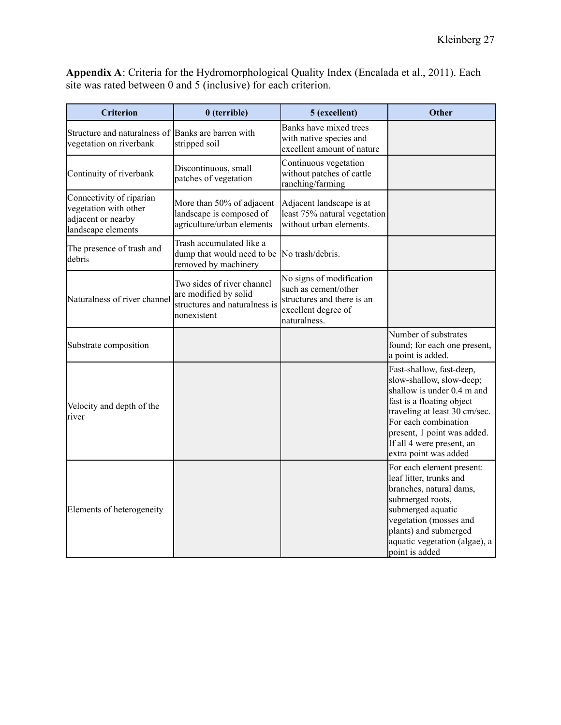**Appendix A**: Criteria for the Hydromorphological Quality Index (Encalada et al., 2011). Each site was rated between 0 and 5 (inclusive) for each criterion.

| <b>Criterion</b>                                                                              | $0$ (terrible)                                                                                      | 5 (excellent)                                                                                                         | <b>Other</b>                                                                                                                                                                                                                                                  |
|-----------------------------------------------------------------------------------------------|-----------------------------------------------------------------------------------------------------|-----------------------------------------------------------------------------------------------------------------------|---------------------------------------------------------------------------------------------------------------------------------------------------------------------------------------------------------------------------------------------------------------|
| Structure and naturalness of<br>vegetation on riverbank                                       | Banks are barren with<br>stripped soil                                                              | Banks have mixed trees<br>with native species and<br>excellent amount of nature                                       |                                                                                                                                                                                                                                                               |
| Continuity of riverbank                                                                       | Discontinuous, small<br>patches of vegetation                                                       | Continuous vegetation<br>without patches of cattle<br>ranching/farming                                                |                                                                                                                                                                                                                                                               |
| Connectivity of riparian<br>vegetation with other<br>adjacent or nearby<br>landscape elements | More than 50% of adjacent<br>landscape is composed of<br>agriculture/urban elements                 | Adjacent landscape is at<br>least 75% natural vegetation<br>without urban elements.                                   |                                                                                                                                                                                                                                                               |
| The presence of trash and<br>debris                                                           | Trash accumulated like a<br>dump that would need to be No trash/debris.<br>removed by machinery     |                                                                                                                       |                                                                                                                                                                                                                                                               |
| Naturalness of river channel                                                                  | Two sides of river channel<br>are modified by solid<br>structures and naturalness is<br>nonexistent | No signs of modification<br>such as cement/other<br>structures and there is an<br>excellent degree of<br>naturalness. |                                                                                                                                                                                                                                                               |
| Substrate composition                                                                         |                                                                                                     |                                                                                                                       | Number of substrates<br>found; for each one present,<br>a point is added.                                                                                                                                                                                     |
| Velocity and depth of the<br>river                                                            |                                                                                                     |                                                                                                                       | Fast-shallow, fast-deep,<br>slow-shallow, slow-deep;<br>shallow is under 0.4 m and<br>fast is a floating object<br>traveling at least 30 cm/sec.<br>For each combination<br>present, 1 point was added.<br>If all 4 were present, an<br>extra point was added |
| Elements of heterogeneity                                                                     |                                                                                                     |                                                                                                                       | For each element present:<br>leaf litter, trunks and<br>branches, natural dams,<br>submerged roots,<br>submerged aquatic<br>vegetation (mosses and<br>plants) and submerged<br>aquatic vegetation (algae), a<br>point is added                                |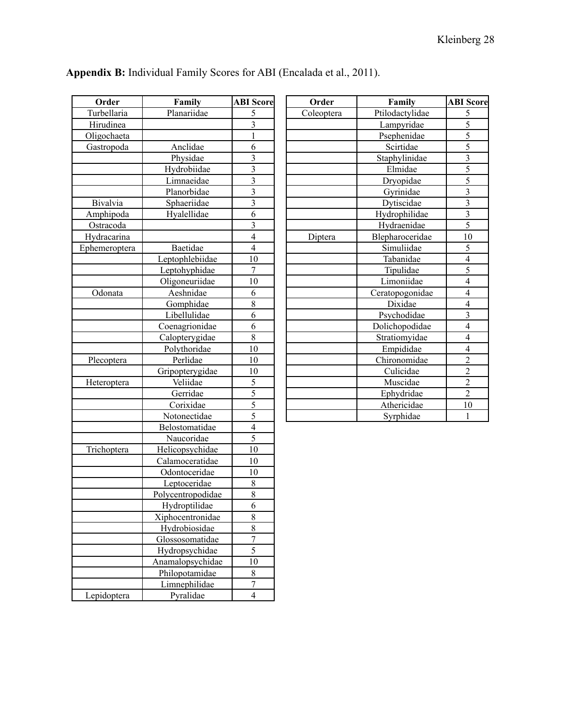| Order              | Family            | <b>ABI</b> Score          |
|--------------------|-------------------|---------------------------|
| Turbellaria        | Planariidae       | 5                         |
| Hirudinea          |                   | 3                         |
| Oligochaeta        |                   | $\mathbf{1}$              |
| Gastropoda         | Anclidae          | 6                         |
|                    | Physidae          | 3                         |
|                    | Hydrobiidae       | $\overline{3}$            |
|                    | Limnaeidae        | $\overline{\overline{3}}$ |
|                    | Planorbidae       | $\overline{\overline{3}}$ |
| Bivalvia           | Sphaeriidae       | $\overline{3}$            |
| Amphipoda          | Hyalellidae       | 6                         |
| Ostracoda          |                   | 3                         |
| Hydracarina        |                   | $\overline{4}$            |
| Ephemeroptera      | Baetidae          | $\overline{4}$            |
|                    | Leptophlebiidae   | 10                        |
|                    | Leptohyphidae     | 7                         |
|                    | Oligoneuriidae    | 10                        |
| Odonata            | Aeshnidae         | 6                         |
|                    | Gomphidae         | 8                         |
|                    | Libellulidae      | $\overline{6}$            |
|                    | Coenagrionidae    | 6                         |
|                    | Calopterygidae    | 8                         |
|                    | Polythoridae      | 10                        |
| Plecoptera         | Perlidae          | 10                        |
|                    | Gripopterygidae   | 10                        |
| Heteroptera        | Veliidae          | 5                         |
|                    | Gerridae          | $\overline{5}$            |
|                    | Corixidae         | $\overline{5}$            |
|                    | Notonectidae      | $\overline{5}$            |
|                    | Belostomatidae    | $\overline{4}$            |
|                    | Naucoridae        | $\overline{5}$            |
| <b>Trichoptera</b> | Helicopsychidae   | 10                        |
|                    | Calamoceratidae   | 10                        |
|                    | Odontoceridae     | 10                        |
|                    | Leptoceridae      | 8                         |
|                    | Polycentropodidae | 8                         |
|                    | Hydroptilidae     | 6                         |
|                    | Xiphocentronidae  | 8                         |
|                    | Hydrobiosidae     | 8                         |
|                    | Glossosomatidae   | 7                         |
|                    | Hydropsychidae    | 5                         |
|                    | Anamalopsychidae  | 10                        |
|                    | Philopotamidae    | 8                         |
|                    | Limnephilidae     | $\overline{7}$            |
| Lepidoptera        | Pyralidae         | 4                         |

| Appendix B: Individual Family Scores for ABI (Encalada et al., 2011). |  |  |
|-----------------------------------------------------------------------|--|--|
|-----------------------------------------------------------------------|--|--|

| Order      | Family          | <b>ABI</b> Score         |
|------------|-----------------|--------------------------|
| Coleoptera | Ptilodactylidae | 5                        |
|            | Lampyridae      | $\overline{5}$           |
|            | Psephenidae     | $\overline{5}$           |
|            | Scirtidae       | $\overline{5}$           |
|            | Staphylinidae   | $\overline{3}$           |
|            | Elmidae         | $\overline{5}$           |
|            | Dryopidae       | $\overline{5}$           |
|            | Gyrinidae       | $\frac{3}{3}$            |
|            | Dytiscidae      |                          |
|            | Hydrophilidae   |                          |
|            | Hydraenidae     | $\overline{5}$           |
| Diptera    | Blepharoceridae | 10                       |
|            | Simuliidae      | 5                        |
|            | Tabanidae       | $\overline{\mathcal{L}}$ |
|            | Tipulidae       | $\overline{5}$           |
|            | Limoniidae      | $\overline{4}$           |
|            | Ceratopogonidae | $\overline{4}$           |
|            | Dixidae         | $\overline{\mathcal{A}}$ |
|            | Psychodidae     | $\overline{3}$           |
|            | Dolichopodidae  | $\overline{4}$           |
|            | Stratiomyidae   | $\overline{4}$           |
|            | Empididae       | $\overline{4}$           |
|            | Chironomidae    | $\overline{2}$           |
|            | Culicidae       | $\overline{2}$           |
|            | Muscidae        | $\overline{2}$           |
|            | Ephydridae      | $\overline{2}$           |
|            | Athericidae     | 10                       |
|            | Syrphidae       | 1                        |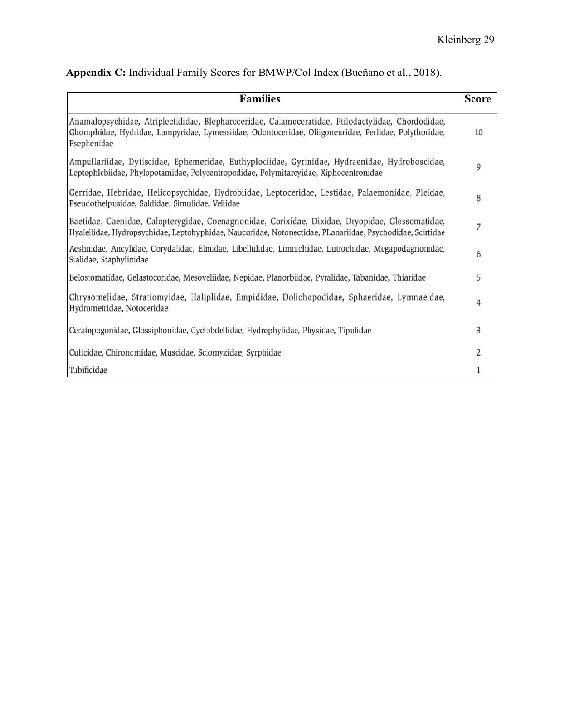| <b>Families</b>                                                                                                                                                                                                            | <b>Score</b> |
|----------------------------------------------------------------------------------------------------------------------------------------------------------------------------------------------------------------------------|--------------|
| Anamalopsychidae, Atriplectididae, Blepharoceridae, Calamoceratidae, Ptilodactylidae, Chordodidae,<br>Ghomphidae, Hydridae, Lampyridae, Lymessiidae, Odontoceridae, Oliigoneuridae, Perlidae, Polythoridae,<br>Psephenidae | 10           |
| Ampullariidae, Dytiscidae, Ephemeridae, Euthyplociidae, Gyrinidae, Hydraenidae, Hydroboscidae,<br>Leptophlebiidae, Phylopotamidae, Polycentropodidae, Polymitarcyidae, Xiphocentronidae                                    | 9            |
| Gerridae, Hebridae, Helicopsychidae, Hydrobiidae, Leptoceridae, Lestidae, Palaemonidae, Pleidae,<br>Pseudothelpusidae, Saldidae, Simulidae, Veliidae                                                                       | 8            |
| Baetidae, Caenidae, Calopterygidae, Coenagrionidae, Corixidae, Dixidae, Dryopidae, Glossomatidae,<br>Hyalellidae, Hydropsychidae, Leptohyphidae, Naucoridae, Notonectidae, PLanariidae, Psychodidae, Scirtidae             | 7            |
| Aeshnidae, Ancylidae, Corydalidae, Elmidae, Libellulidae, Limnichidae, Lutrochidae, Megapodagrionidae,<br>Sialidae, Staphylinidae                                                                                          | 6            |
| Belostomatidae, Gelastocoridae, Mesoveliidae, Nepidae, Planorbiidae, Pyralidae, Tabanidae, Thiaridae                                                                                                                       | 5            |
| Chrysomelidae, Stratiomyidae, Haliplidae, Empididae, Dolichopodidae, Sphaeridae, Lymnaeidae,<br>Hydrometridae, Notoceridae                                                                                                 | 4            |
| Ceratopogonidae, Glossiphonidae, Cyclobdellidae, Hydrophylidae, Physidae, Tipulidae                                                                                                                                        | 3            |
| Culicidae, Chironomidae, Muscidae, Sciomyzidae, Syrphidae                                                                                                                                                                  | 2            |
| Tubificidae                                                                                                                                                                                                                |              |

# **Appendix C:** Individual Family Scores for BMWP/Col Index (Bueñano et al., 2018).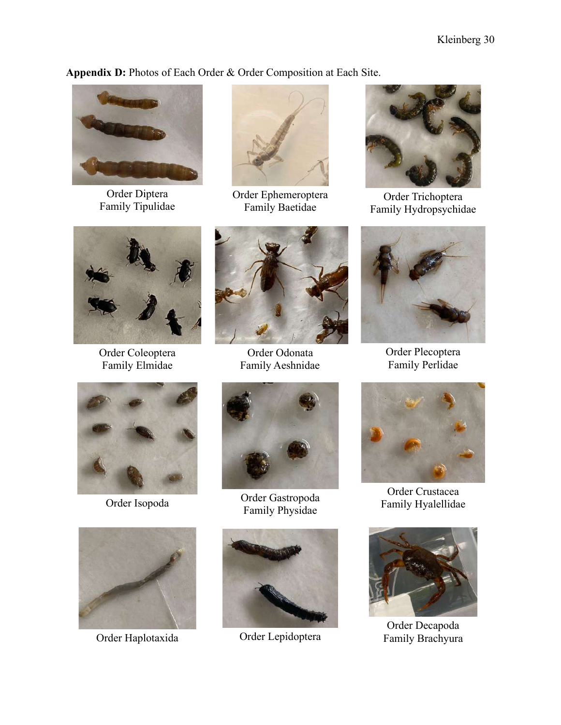**Appendix D:** Photos of Each Order & Order Composition at Each Site.



Order Diptera Family Tipulidae



Order Ephemeroptera Family Baetidae



Order Trichoptera Family Hydropsychidae



Order Coleoptera Family Elmidae



Order Odonata Family Aeshnidae







Order Isopoda<br>
Order Gastropoda<br>
The Handburg of Participate of Participate of Participate of Participate of Participate of Participate of Participate of Participate of Participate of Participate of Participate of Particip Family Physidae



Order Haplotaxida Order Lepidoptera



Order Plecoptera Family Perlidae



Order Crustacea Family Hyalellidae



Order Decapoda Family Brachyura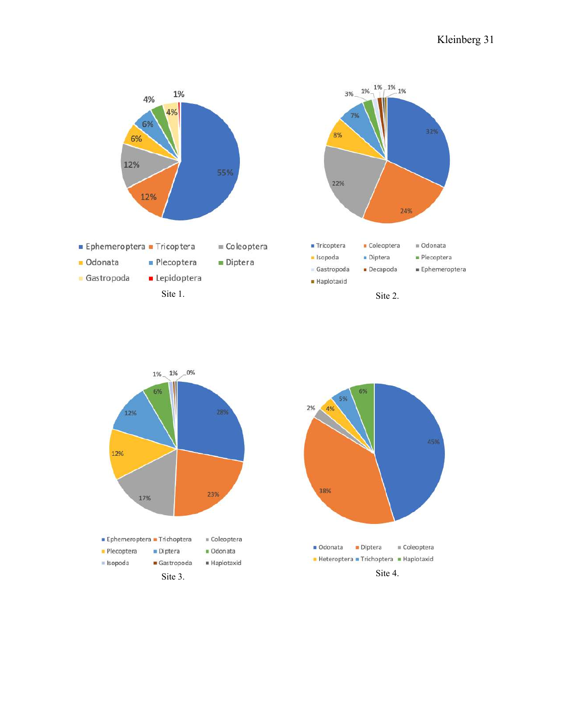



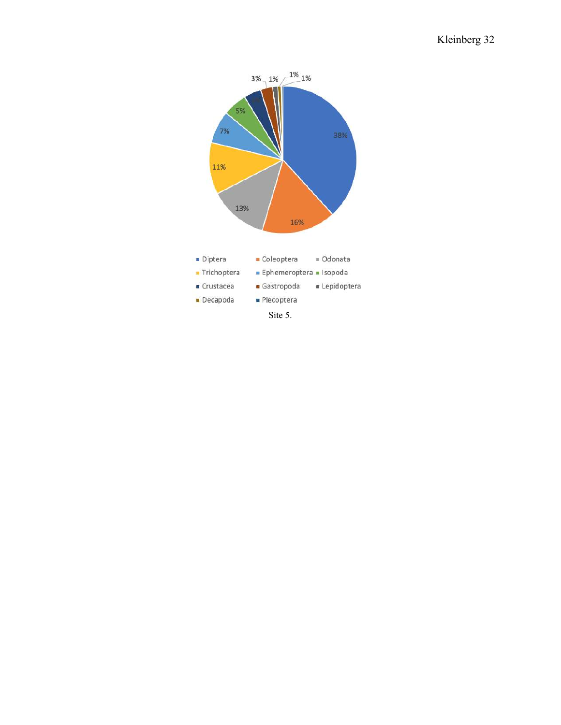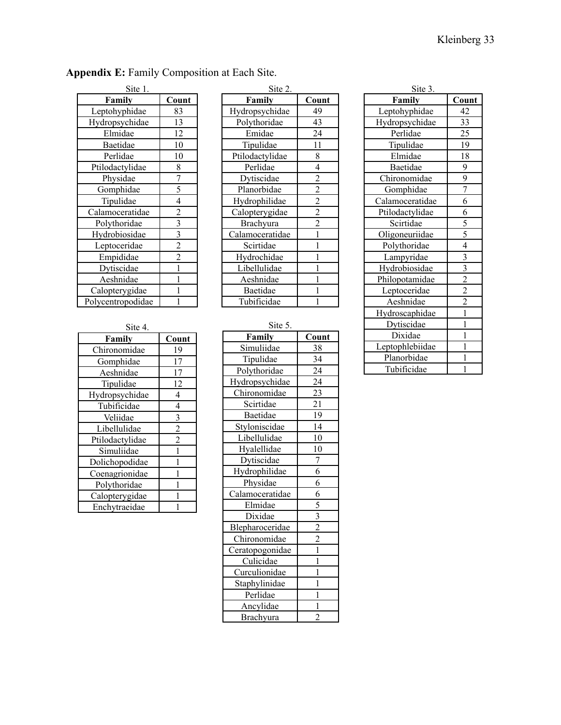| Site 1.           |                |  |
|-------------------|----------------|--|
| Family            | Count          |  |
| Leptohyphidae     | 83             |  |
| Hydropsychidae    | 13             |  |
| Elmidae           | 12             |  |
| Baetidae          | 10             |  |
| Perlidae          | 10             |  |
| Ptilodactylidae   | 8              |  |
| Physidae          | 7              |  |
| Gomphidae         | $\overline{5}$ |  |
| Tipulidae         | $\overline{4}$ |  |
| Calamoceratidae   | $\overline{c}$ |  |
| Polythoridae      | $\overline{3}$ |  |
| Hydrobiosidae     | $\overline{3}$ |  |
| Leptoceridae      | $\overline{c}$ |  |
| Empididae         | $\overline{2}$ |  |
| Dytiscidae        | 1              |  |
| Aeshnidae         | 1              |  |
| Calopterygidae    |                |  |
| Polycentropodidae |                |  |

Site 4.

**Family** Chironomidae Gomphidae Aeshnidae Tipulidae Hydropsychidae 4 Tubificidae 4 Veliidae Libellulidae Ptilodactylidae Simuliidae Dolichopodidae Coenagrionidae Polythoridae Calopterygidae Enchytraeidae

|  |  | <b>Appendix E:</b> Family Composition at Each Site. |  |
|--|--|-----------------------------------------------------|--|
|--|--|-----------------------------------------------------|--|

| Site 2.                 |  |  |  |
|-------------------------|--|--|--|
| Count                   |  |  |  |
| 49                      |  |  |  |
| 43                      |  |  |  |
| 24                      |  |  |  |
| 11                      |  |  |  |
| 8                       |  |  |  |
| 4                       |  |  |  |
| $\overline{c}$          |  |  |  |
| $\overline{c}$          |  |  |  |
| $\overline{\mathbf{c}}$ |  |  |  |
| $\bar{2}$               |  |  |  |
| $\overline{2}$          |  |  |  |
| $\mathbf{1}$            |  |  |  |
| 1                       |  |  |  |
| 1                       |  |  |  |
| 1                       |  |  |  |
| 1                       |  |  |  |
| 1                       |  |  |  |
|                         |  |  |  |
|                         |  |  |  |

| ٧<br>I |  |
|--------|--|

Ancylidae 1 Brachyura 2

**Family Count** 38 34  $24$ 

> $\overline{21}$ **19**  $\overline{14}$  $\overline{10}$  $\overline{10}$

|                         | $S$ lle J.      |                         |
|-------------------------|-----------------|-------------------------|
| Count                   | Family          | Cou                     |
| 19                      | Simuliidae      | 38                      |
| 17                      | Tipulidae       | 34                      |
| 17                      | Polythoridae    | 24                      |
| 12                      | Hydropsychidae  | 24                      |
| $\overline{4}$          | Chironomidae    | 23                      |
| $\overline{4}$          | Scirtidae       | 21                      |
| $\overline{\mathbf{3}}$ | <b>Baetidae</b> | 19                      |
| $\overline{2}$          | Styloniscidae   | 14                      |
| $\overline{c}$          | Libellulidae    | 10                      |
| $\mathbf{1}$            | Hyalellidae     | 10                      |
| $\mathbf{1}$            | Dytiscidae      | 7                       |
| 1                       | Hydrophilidae   | 6                       |
| 1                       | Physidae        | 6                       |
| 1                       | Calamoceratidae | 6                       |
| 1                       | Elmidae         | 5                       |
|                         | Dixidae         | $\overline{\mathbf{3}}$ |
|                         | Blepharoceridae | $\overline{2}$          |
|                         | Chironomidae    | $\overline{2}$          |
|                         | Ceratopogonidae | $\mathbf{1}$            |
|                         | Culicidae       | $\mathbf{1}$            |
|                         | Curculionidae   | $\mathbf{1}$            |
|                         | Staphylinidae   | 1                       |
|                         | Perlidae        | $\mathbf{1}$            |

| Site 3.         |                |
|-----------------|----------------|
| Family          | Count          |
| Leptohyphidae   | 42             |
| Hydropsychidae  | 33             |
| Perlidae        | <u>25</u>      |
| Tipulidae       | 19             |
| Elmidae         | 18             |
| Baetidae        | 9              |
| Chironomidae    | 9              |
| Gomphidae       | $\overline{7}$ |
| Calamoceratidae | 6              |
| Ptilodactylidae | 6              |
| Scirtidae       | 5              |
| Oligoneuriidae  | 5              |
| Polythoridae    | $\overline{4}$ |
| Lampyridae      | $\overline{3}$ |
| Hydrobiosidae   | $\overline{3}$ |
| Philopotamidae  | $\overline{2}$ |
| Leptoceridae    | $\overline{2}$ |
| Aeshnidae       | $\overline{2}$ |
| Hydroscaphidae  | $\mathbf{1}$   |
| Dytiscidae      | $\mathbf{1}$   |
| Dixidae         | 1              |
| Leptophlebiidae | $\mathbf{1}$   |
| Planorbidae     | 1              |
| Tubificidae     | 1              |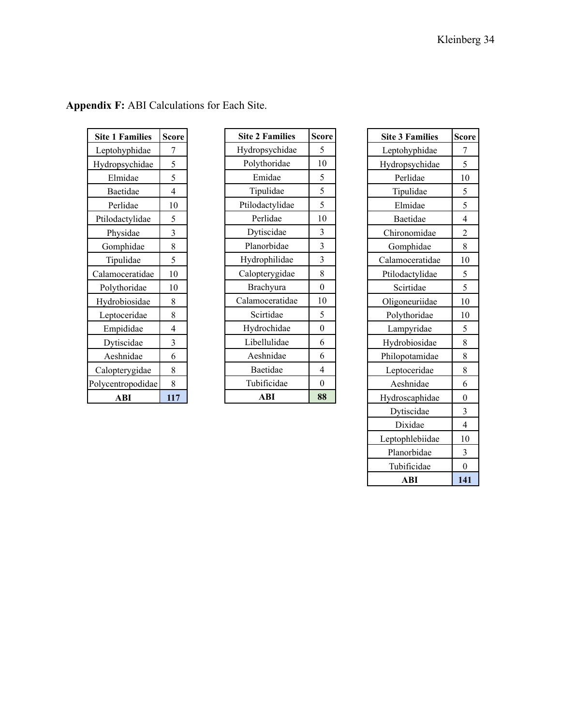| <b>Site 1 Families</b> | Score          |
|------------------------|----------------|
| Leptohyphidae          | 7              |
| Hydropsychidae         | 5              |
| Elmidae                | 5              |
| Baetidae               | $\overline{4}$ |
| Perlidae               | 10             |
| Ptilodactylidae        | 5              |
| Physidae               | 3              |
| Gomphidae              | 8              |
| Tipulidae              | 5              |
| Calamoceratidae        | 10             |
| Polythoridae           | 10             |
| Hydrobiosidae          | 8              |
| Leptoceridae           | 8              |
| Empididae              | 4              |
| Dytiscidae             | 3              |
| Aeshnidae              | 6              |
| Calopterygidae         | 8              |
| Polycentropodidae      | 8              |
| ABI                    | 117            |

| <b>Appendix F:</b> ABI Calculations for Each Site. |  |  |
|----------------------------------------------------|--|--|
|----------------------------------------------------|--|--|

| <b>Site 2 Families</b> | <b>Score</b>     |
|------------------------|------------------|
| Hydropsychidae         | 5                |
| Polythoridae           | 10               |
| Emidae                 | 5                |
| Tipulidae              | 5                |
| Ptilodactylidae        | 5                |
| Perlidae               | 10               |
| Dytiscidae             | 3                |
| Planorbidae            | 3                |
| Hydrophilidae          | 3                |
| Calopterygidae         | 8                |
| Brachyura              | $\overline{0}$   |
| Calamoceratidae        | 10               |
| Scirtidae              | 5                |
| Hydrochidae            | $\overline{0}$   |
| Libellulidae           | 6                |
| Aeshnidae              | 6                |
| Baetidae               | $\overline{4}$   |
| Tubificidae            | $\boldsymbol{0}$ |
| ABI                    | 88               |

| <b>Site 3 Families</b> | <u>Score</u>   |
|------------------------|----------------|
| Leptohyphidae          | 7              |
| Hydropsychidae         | 5              |
| Perlidae               | 10             |
| Tipulidae              | 5              |
| Elmidae                | 5              |
| Baetidae               | $\overline{4}$ |
| Chironomidae           | $\overline{c}$ |
| Gomphidae              | 8              |
| Calamoceratidae        | 10             |
| Ptilodactylidae        | $\overline{5}$ |
| Scirtidae              | 5              |
| Oligoneuriidae         | 10             |
| Polythoridae           | 10             |
| Lampyridae             | 5              |
| Hydrobiosidae          | 8              |
| Philopotamidae         | 8              |
| Leptoceridae           | 8              |
| Aeshnidae              | 6              |
| Hydroscaphidae         | $\overline{0}$ |
| Dytiscidae             | 3              |
| Dixidae                | 4              |
| Leptophlebiidae        | 10             |
| Planorbidae            | 3              |
| Tubificidae            | $\theta$       |
| ABI                    | 141            |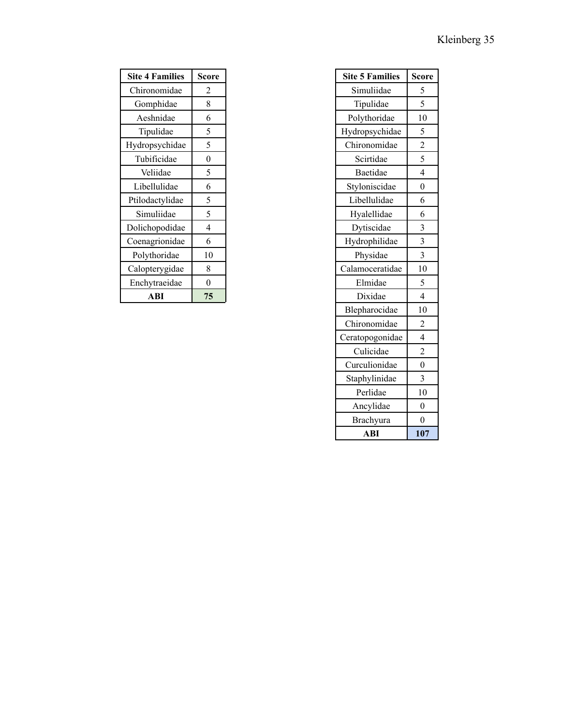| <b>Site 4 Families</b> | <b>Score</b>   |
|------------------------|----------------|
| Chironomidae           | 2              |
| Gomphidae              | 8              |
| Aeshnidae              | 6              |
| Tipulidae              | 5              |
| Hydropsychidae         | 5              |
| Tubificidae            | $\overline{0}$ |
| Veliidae               | 5              |
| Libellulidae           | 6              |
| Ptilodactylidae        | 5              |
| Simuliidae             | 5              |
| Dolichopodidae         | $\overline{4}$ |
| Coenagrionidae         | 6              |
| Polythoridae           | 10             |
| Calopterygidae         | 8              |
| Enchytraeidae          | $\theta$       |
| ABI                    | 75             |

| <b>Site 5 Families</b> | <b>Score</b>            |
|------------------------|-------------------------|
| Simuliidae             | $\frac{5}{1}$           |
| Tipulidae              | 5                       |
| Polythoridae           | 10                      |
| Hydropsychidae         | 5                       |
| Chironomidae           | $\frac{1}{2}$           |
| Scirtidae              | 5                       |
| Baetidae               | $\overline{4}$          |
| Styloniscidae          | $\overline{0}$          |
| Libellulidae           | 6                       |
| Hyalellidae            | 6                       |
| Dytiscidae             | $\overline{\mathbf{3}}$ |
| Hydrophilidae          | 3                       |
| Physidae               | $\overline{\mathbf{3}}$ |
| Calamoceratidae        | 10                      |
| Elmidae                | 5                       |
| Dixidae                | $\overline{4}$          |
| Blepharocidae          | 10                      |
| Chironomidae           | $\overline{c}$          |
| Ceratopogonidae        | $\overline{4}$          |
| Culicidae              | $\overline{c}$          |
| Curculionidae          | $\overline{0}$          |
| Staphylinidae          | 3                       |
| Perlidae               | 10                      |
| Ancylidae              | $\boldsymbol{0}$        |
| Brachyura              | $\theta$                |
| ABI                    | 107                     |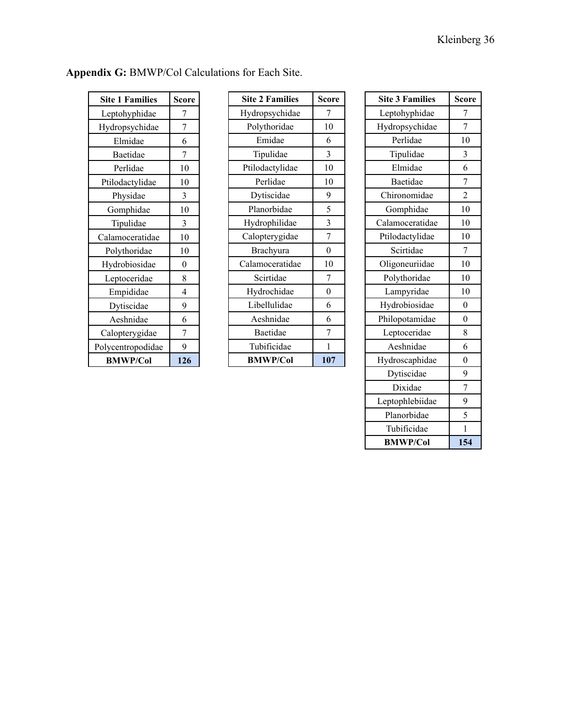| <b>Site 1 Families</b> | Score          |
|------------------------|----------------|
| Leptohyphidae          | 7              |
| Hydropsychidae         | 7              |
| Elmidae                | 6              |
| Baetidae               | 7              |
| Perlidae               | 10             |
| Ptilodactylidae        | 10             |
| Physidae               | 3              |
| Gomphidae              | 10             |
| Tipulidae              | 3              |
| Calamoceratidae        | 10             |
| Polythoridae           | 10             |
| Hydrobiosidae          | $\overline{0}$ |
| Leptoceridae           | 8              |
| Empididae              | 4              |
| Dytiscidae             | 9              |
| Aeshnidae              | 6              |
| Calopterygidae         | 7              |
| Polycentropodidae      | 9              |
| <b>BMWP/Col</b>        | 126            |

| Appendix G: BMWP/Col Calculations for Each Site. |
|--------------------------------------------------|
|--------------------------------------------------|

| <b>Site 2 Families</b> | <b>Score</b>   |
|------------------------|----------------|
| Hydropsychidae         | 7              |
| Polythoridae           | 10             |
| Emidae                 | 6              |
| Tipulidae              | 3              |
| Ptilodactylidae        | 10             |
| Perlidae               | 10             |
| Dytiscidae             | 9              |
| Planorbidae            | 5              |
| Hydrophilidae          | 3              |
| Calopterygidae         | 7              |
| Brachyura              | $\overline{0}$ |
| Calamoceratidae        | 10             |
| Scirtidae              | 7              |
| Hydrochidae            | $\overline{0}$ |
| Libellulidae           | 6              |
| Aeshnidae              | 6              |
| Baetidae               | 7              |
| Tubificidae            | 1              |
| <b>BMWP/Col</b>        | 107            |

| <b>Site 3 Families</b> | Score            |
|------------------------|------------------|
| Leptohyphidae          | 7                |
| Hydropsychidae         | 7                |
| Perlidae               | 10               |
| Tipulidae              | 3                |
| Elmidae                | 6                |
| Baetidae               | 7                |
| Chironomidae           | $\overline{2}$   |
| Gomphidae              | 10               |
| Calamoceratidae        | 10               |
| Ptilodactylidae        | 10               |
| Scirtidae              | 7                |
| Oligoneuriidae         | 10               |
| Polythoridae           | 10               |
| Lampyridae             | 10               |
| Hydrobiosidae          | $\boldsymbol{0}$ |
| Philopotamidae         | $\overline{0}$   |
| Leptoceridae           | 8                |
| Aeshnidae              | 6                |
| Hydroscaphidae         | $\overline{0}$   |
| Dytiscidae             | 9                |
| Dixidae                | 7                |
| Leptophlebiidae        | 9                |
| Planorbidae            | 5                |
| Tubificidae            | $\mathbf{1}$     |
| <b>BMWP/Col</b>        | 154              |